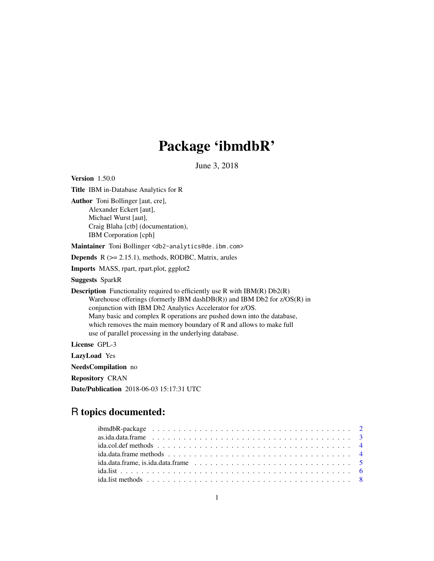# Package 'ibmdbR'

June 3, 2018

<span id="page-0-0"></span>Version 1.50.0 Title IBM in-Database Analytics for R Author Toni Bollinger [aut, cre], Alexander Eckert [aut], Michael Wurst [aut], Craig Blaha [ctb] (documentation), IBM Corporation [cph] Maintainer Toni Bollinger <db2-analytics@de.ibm.com> **Depends**  $R$  ( $>= 2.15.1$ ), methods, RODBC, Matrix, arules Imports MASS, rpart, rpart.plot, ggplot2 Suggests SparkR **Description** Functionality required to efficiently use R with  $IBM(R) Db2(R)$ Warehouse offerings (formerly IBM dashDB(R)) and IBM Db2 for z/OS(R) in conjunction with IBM Db2 Analytics Accelerator for z/OS. Many basic and complex R operations are pushed down into the database, which removes the main memory boundary of R and allows to make full use of parallel processing in the underlying database. License GPL-3 LazyLoad Yes NeedsCompilation no Repository CRAN

Date/Publication 2018-06-03 15:17:31 UTC

# R topics documented:

| ida.col.def methods $\dots \dots \dots \dots \dots \dots \dots \dots \dots \dots \dots \dots \dots \dots \dots \dots \dots$ |
|-----------------------------------------------------------------------------------------------------------------------------|
|                                                                                                                             |
|                                                                                                                             |
|                                                                                                                             |
|                                                                                                                             |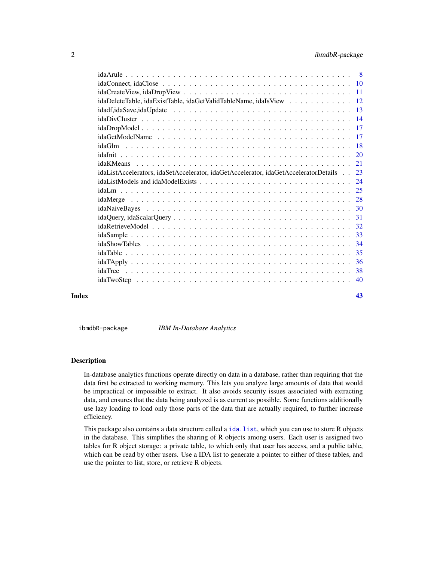# <span id="page-1-0"></span>2 ibmdbR-package

|       | idaDeleteTable, idaExistTable, idaGetValidTableName, idaIsView 12                   |    |
|-------|-------------------------------------------------------------------------------------|----|
|       |                                                                                     |    |
|       |                                                                                     |    |
|       |                                                                                     |    |
|       |                                                                                     |    |
|       |                                                                                     |    |
|       |                                                                                     |    |
|       |                                                                                     |    |
|       | idaListAccelerators, idaSetAccelerator, idaGetAccelerator, idaGetAcceleratorDetails | 23 |
|       |                                                                                     |    |
|       |                                                                                     |    |
|       |                                                                                     |    |
|       |                                                                                     |    |
|       |                                                                                     |    |
|       |                                                                                     |    |
|       |                                                                                     |    |
|       |                                                                                     |    |
|       |                                                                                     |    |
|       |                                                                                     |    |
|       |                                                                                     |    |
|       |                                                                                     | 40 |
| Index |                                                                                     | 43 |

ibmdbR-package *IBM In-Database Analytics*

#### Description

In-database analytics functions operate directly on data in a database, rather than requiring that the data first be extracted to working memory. This lets you analyze large amounts of data that would be impractical or impossible to extract. It also avoids security issues associated with extracting data, and ensures that the data being analyzed is as current as possible. Some functions additionally use lazy loading to load only those parts of the data that are actually required, to further increase efficiency.

This package also contains a data structure called a [ida.list](#page-5-1), which you can use to store R objects in the database. This simplifies the sharing of R objects among users. Each user is assigned two tables for R object storage: a private table, to which only that user has access, and a public table, which can be read by other users. Use a IDA list to generate a pointer to either of these tables, and use the pointer to list, store, or retrieve R objects.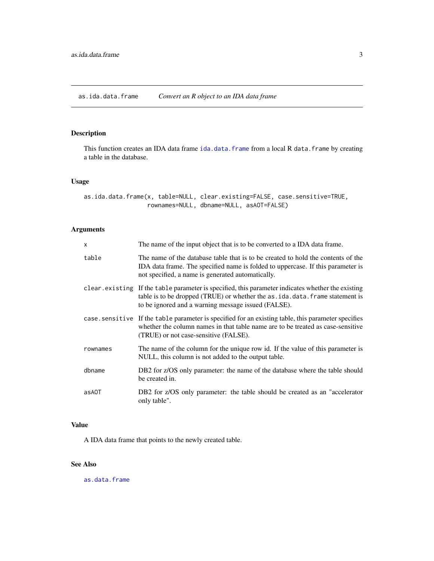# <span id="page-2-1"></span><span id="page-2-0"></span>Description

This function creates an IDA data frame [ida.data.frame](#page-4-1) from a local R data.frame by creating a table in the database.

# Usage

```
as.ida.data.frame(x, table=NULL, clear.existing=FALSE, case.sensitive=TRUE,
                  rownames=NULL, dbname=NULL, asAOT=FALSE)
```
# Arguments

| $\mathsf{x}$ | The name of the input object that is to be converted to a IDA data frame.                                                                                                                                                                    |
|--------------|----------------------------------------------------------------------------------------------------------------------------------------------------------------------------------------------------------------------------------------------|
| table        | The name of the database table that is to be created to hold the contents of the<br>IDA data frame. The specified name is folded to uppercase. If this parameter is<br>not specified, a name is generated automatically.                     |
|              | clear. existing If the table parameter is specified, this parameter indicates whether the existing<br>table is to be dropped (TRUE) or whether the as . ida. data. frame statement is<br>to be ignored and a warning message issued (FALSE). |
|              | case sensitive If the table parameter is specified for an existing table, this parameter specifies<br>whether the column names in that table name are to be treated as case-sensitive<br>(TRUE) or not case-sensitive (FALSE).               |
| rownames     | The name of the column for the unique row id. If the value of this parameter is<br>NULL, this column is not added to the output table.                                                                                                       |
| dbname       | DB2 for z/OS only parameter: the name of the database where the table should<br>be created in.                                                                                                                                               |
| as AOT       | DB2 for z/OS only parameter: the table should be created as an "accelerator"<br>only table".                                                                                                                                                 |

# Value

A IDA data frame that points to the newly created table.

# See Also

[as.data.frame](#page-0-0)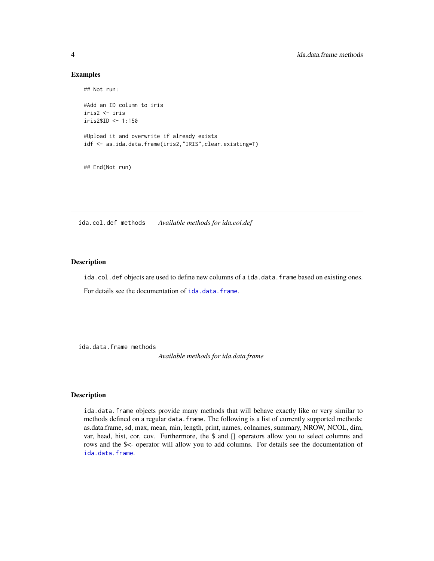#### Examples

```
## Not run:
#Add an ID column to iris
iris2 <- iris
iris2$ID <- 1:150
#Upload it and overwrite if already exists
idf <- as.ida.data.frame(iris2,"IRIS",clear.existing=T)
## End(Not run)
```
ida.col.def methods *Available methods for ida.col.def*

# Description

ida.col.def objects are used to define new columns of a ida.data.frame based on existing ones.

For details see the documentation of [ida.data.frame](#page-4-1).

ida.data.frame methods

*Available methods for ida.data.frame*

### Description

ida.data.frame objects provide many methods that will behave exactly like or very similar to methods defined on a regular data. frame. The following is a list of currently supported methods: as.data.frame, sd, max, mean, min, length, print, names, colnames, summary, NROW, NCOL, dim, var, head, hist, cor, cov. Furthermore, the \$ and [] operators allow you to select columns and rows and the \$<- operator will allow you to add columns. For details see the documentation of [ida.data.frame](#page-4-1).

<span id="page-3-0"></span>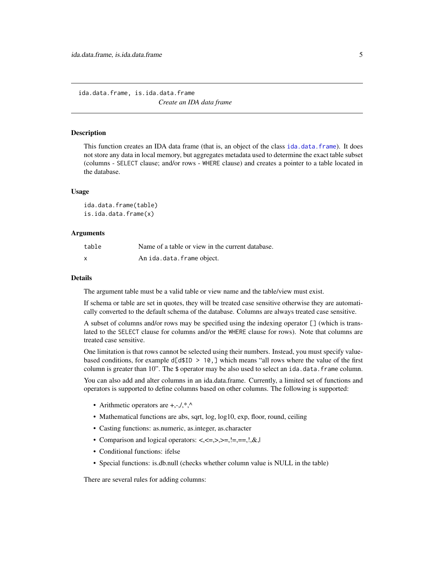<span id="page-4-0"></span>ida.data.frame, is.ida.data.frame *Create an IDA data frame*

#### <span id="page-4-1"></span>Description

This function creates an IDA data frame (that is, an object of the class [ida.data.frame](#page-4-1)). It does not store any data in local memory, but aggregates metadata used to determine the exact table subset (columns - SELECT clause; and/or rows - WHERE clause) and creates a pointer to a table located in the database.

#### Usage

ida.data.frame(table) is.ida.data.frame(x)

#### Arguments

| table | Name of a table or view in the current database. |
|-------|--------------------------------------------------|
| X     | An ida.data.frame object.                        |

#### Details

The argument table must be a valid table or view name and the table/view must exist.

If schema or table are set in quotes, they will be treated case sensitive otherwise they are automatically converted to the default schema of the database. Columns are always treated case sensitive.

A subset of columns and/or rows may be specified using the indexing operator [] (which is translated to the SELECT clause for columns and/or the WHERE clause for rows). Note that columns are treated case sensitive.

One limitation is that rows cannot be selected using their numbers. Instead, you must specify valuebased conditions, for example  $d[d$ID > 10, ]$  which means "all rows where the value of the first column is greater than  $10$ ". The  $\frac{1}{2}$  operator may be also used to select an ida.data.frame column.

You can also add and alter columns in an ida.data.frame. Currently, a limited set of functions and operators is supported to define columns based on other columns. The following is supported:

- Arithmetic operators are  $+, \frac{1}{2}, \frac{1}{2}$ .
- Mathematical functions are abs, sqrt, log, log10, exp, floor, round, ceiling
- Casting functions: as.numeric, as.integer, as.character
- Comparison and logical operators: <, <=, >>, >=, !=, ==, !, &, |
- Conditional functions: ifelse
- Special functions: is.db.null (checks whether column value is NULL in the table)

There are several rules for adding columns: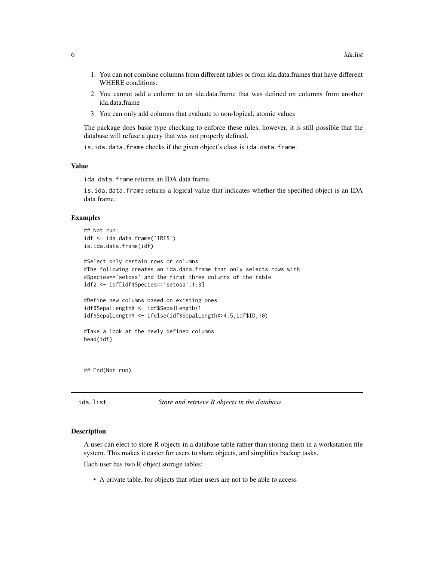- <span id="page-5-0"></span>1. You can not combine columns from different tables or from ida.data.frames that have different WHERE conditions.
- 2. You cannot add a column to an ida.data.frame that was defined on columns from another ida.data.frame
- 3. You can only add columns that evaluate to non-logical, atomic values

The package does basic type checking to enforce these rules, however, it is still possible that the database will refuse a query that was not properly defined.

is.ida.data.frame checks if the given object's class is ida.data.frame.

#### Value

ida.data.frame returns an IDA data frame.

is.ida.data.frame returns a logical value that indicates whether the specified object is an IDA data frame.

# Examples

```
## Not run:
idf <- ida.data.frame('IRIS')
is.ida.data.frame(idf)
#Select only certain rows or columns
#The following creates an ida.data.frame that only selects rows with
#Species=='setosa' and the first three columns of the table
idf2 <- idf[idf$Species=='setosa',1:3]
#Define new columns based on existing ones
idf$SepalLengthX <- idf$SepalLength+1
idf$SepalLengthY <- ifelse(idf$SepalLengthX>4.5,idf$ID,10)
#Take a look at the newly defined columns
head(idf)
```
## End(Not run)

<span id="page-5-1"></span>

| ida.list | Store and retrieve R objects in the database |
|----------|----------------------------------------------|
|----------|----------------------------------------------|

#### Description

A user can elect to store R objects in a database table rather than storing them in a workstation file system. This makes it easier for users to share objects, and simplifies backup tasks.

Each user has two R object storage tables:

• A private table, for objects that other users are not to be able to access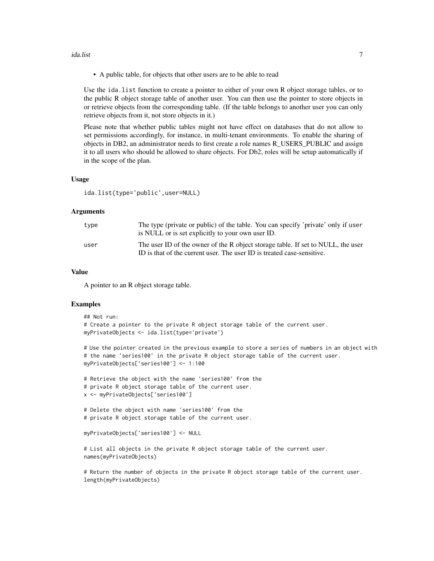#### ida.list 7

• A public table, for objects that other users are to be able to read

Use the ida.list function to create a pointer to either of your own R object storage tables, or to the public R object storage table of another user. You can then use the pointer to store objects in or retrieve objects from the corresponding table. (If the table belongs to another user you can only retrieve objects from it, not store objects in it.)

Please note that whether public tables might not have effect on databases that do not allow to set permissions accordingly, for instance, in multi-tenant environments. To enable the sharing of objects in DB2, an administrator needs to first create a role names R\_USERS\_PUBLIC and assign it to all users who should be allowed to share objects. For Db2, roles will be setup automatically if in the scope of the plan.

#### Usage

ida.list(type='public',user=NULL)

#### Arguments

| type | The type (private or public) of the table. You can specify 'private' only if user<br>is NULL or is set explicitly to your own user ID.                     |
|------|------------------------------------------------------------------------------------------------------------------------------------------------------------|
| user | The user ID of the owner of the R object storage table. If set to NULL, the user<br>ID is that of the current user. The user ID is treated case-sensitive. |

#### Value

A pointer to an R object storage table.

#### Examples

```
## Not run:
# Create a pointer to the private R object storage table of the current user.
myPrivateObjects <- ida.list(type='private')
```
# Use the pointer created in the previous example to store a series of numbers in an object with # the name 'series100' in the private R object storage table of the current user. myPrivateObjects['series100'] <- 1:100

```
# Retrieve the object with the name 'series100' from the
# private R object storage table of the current user.
x <- myPrivateObjects['series100']
# Delete the object with name 'series100' from the
# private R object storage table of the current user.
```
myPrivateObjects['series100'] <- NULL

# List all objects in the private R object storage table of the current user. names(myPrivateObjects)

# Return the number of objects in the private R object storage table of the current user. length(myPrivateObjects)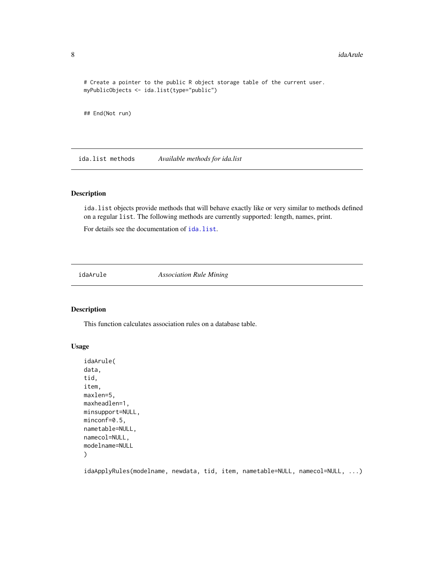```
# Create a pointer to the public R object storage table of the current user.
myPublicObjects <- ida.list(type="public")
```
## End(Not run)

ida.list methods *Available methods for ida.list*

#### Description

ida.list objects provide methods that will behave exactly like or very similar to methods defined on a regular list. The following methods are currently supported: length, names, print.

For details see the documentation of [ida.list](#page-5-1).

<span id="page-7-1"></span>idaArule *Association Rule Mining*

#### Description

This function calculates association rules on a database table.

# Usage

```
idaArule(
data,
tid,
item,
maxlen=5,
maxheadlen=1,
minsupport=NULL,
minconf=0.5,
nametable=NULL,
namecol=NULL,
modelname=NULL
)
```
idaApplyRules(modelname, newdata, tid, item, nametable=NULL, namecol=NULL, ...)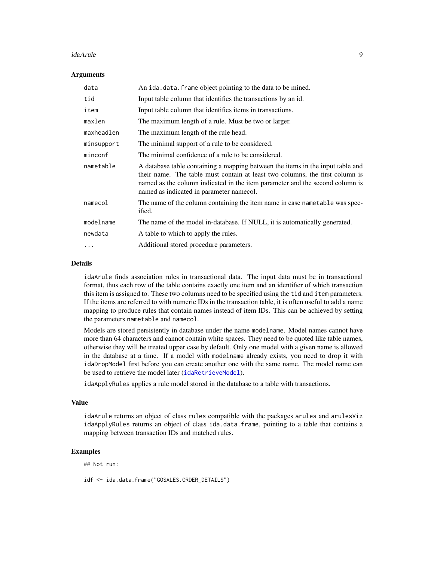#### <span id="page-8-0"></span>idaArule 9

#### **Arguments**

| data       | An ida.data.frame object pointing to the data to be mined.                                                                                                                                                                                                                                 |
|------------|--------------------------------------------------------------------------------------------------------------------------------------------------------------------------------------------------------------------------------------------------------------------------------------------|
| tid        | Input table column that identifies the transactions by an id.                                                                                                                                                                                                                              |
| item       | Input table column that identifies items in transactions.                                                                                                                                                                                                                                  |
| maxlen     | The maximum length of a rule. Must be two or larger.                                                                                                                                                                                                                                       |
| maxheadlen | The maximum length of the rule head.                                                                                                                                                                                                                                                       |
| minsupport | The minimal support of a rule to be considered.                                                                                                                                                                                                                                            |
| minconf    | The minimal confidence of a rule to be considered.                                                                                                                                                                                                                                         |
| nametable  | A database table containing a mapping between the items in the input table and<br>their name. The table must contain at least two columns, the first column is<br>named as the column indicated in the item parameter and the second column is<br>named as indicated in parameter namecol. |
| namecol    | The name of the column containing the item name in case nametable was spec-<br>ified.                                                                                                                                                                                                      |
| modelname  | The name of the model in-database. If NULL, it is automatically generated.                                                                                                                                                                                                                 |
| newdata    | A table to which to apply the rules.                                                                                                                                                                                                                                                       |
| $\cdots$   | Additional stored procedure parameters.                                                                                                                                                                                                                                                    |

#### Details

idaArule finds association rules in transactional data. The input data must be in transactional format, thus each row of the table contains exactly one item and an identifier of which transaction this item is assigned to. These two columns need to be specified using the tid and item parameters. If the items are referred to with numeric IDs in the transaction table, it is often useful to add a name mapping to produce rules that contain names instead of item IDs. This can be achieved by setting the parameters nametable and namecol.

Models are stored persistently in database under the name modelname. Model names cannot have more than 64 characters and cannot contain white spaces. They need to be quoted like table names, otherwise they will be treated upper case by default. Only one model with a given name is allowed in the database at a time. If a model with modelname already exists, you need to drop it with idaDropModel first before you can create another one with the same name. The model name can be used to retrieve the model later ([idaRetrieveModel](#page-31-1)).

idaApplyRules applies a rule model stored in the database to a table with transactions.

#### Value

idaArule returns an object of class rules compatible with the packages arules and arulesViz idaApplyRules returns an object of class ida.data.frame, pointing to a table that contains a mapping between transaction IDs and matched rules.

# Examples

## Not run:

idf <- ida.data.frame("GOSALES.ORDER\_DETAILS")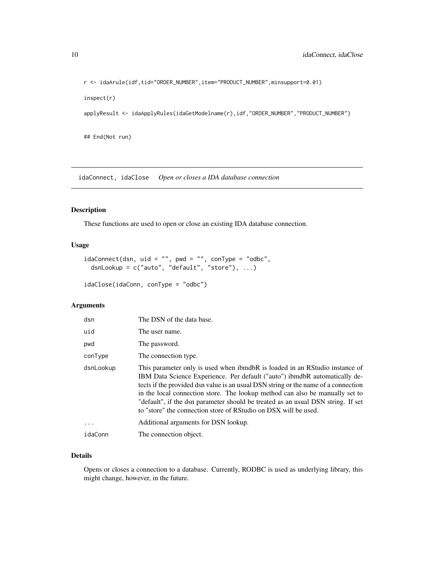<span id="page-9-0"></span>r <- idaArule(idf,tid="ORDER\_NUMBER",item="PRODUCT\_NUMBER",minsupport=0.01)

inspect(r)

applyResult <- idaApplyRules(idaGetModelname(r),idf,"ORDER\_NUMBER","PRODUCT\_NUMBER")

## End(Not run)

idaConnect, idaClose *Open or closes a IDA database connection*

# Description

These functions are used to open or close an existing IDA database connection.

# Usage

```
idaConnect(dsn, uid = "", pwd = "", confype = "odbc",dsnLookup = c("auto", "default", "store"), ...)
```

```
idaClose(idaConn, conType = "odbc")
```
# Arguments

| dsn       | The DSN of the data base.                                                                                                                                                                                                                                                                                                                                                                                                                                                              |
|-----------|----------------------------------------------------------------------------------------------------------------------------------------------------------------------------------------------------------------------------------------------------------------------------------------------------------------------------------------------------------------------------------------------------------------------------------------------------------------------------------------|
| uid       | The user name.                                                                                                                                                                                                                                                                                                                                                                                                                                                                         |
| pwd       | The password.                                                                                                                                                                                                                                                                                                                                                                                                                                                                          |
| conType   | The connection type.                                                                                                                                                                                                                                                                                                                                                                                                                                                                   |
| dsnLookup | This parameter only is used when ibmdbR is loaded in an RStudio instance of<br>IBM Data Science Experience. Per default ("auto") ibmdbR automatically de-<br>tects if the provided dsn value is an usual DSN string or the name of a connection<br>in the local connection store. The lookup method can also be manually set to<br>"default", if the dsn parameter should be treated as an usual DSN string. If set<br>to "store" the connection store of RStudio on DSX will be used. |
| .         | Additional arguments for DSN lookup.                                                                                                                                                                                                                                                                                                                                                                                                                                                   |
| idaConn   | The connection object.                                                                                                                                                                                                                                                                                                                                                                                                                                                                 |

# Details

Opens or closes a connection to a database. Currently, RODBC is used as underlying library, this might change, however, in the future.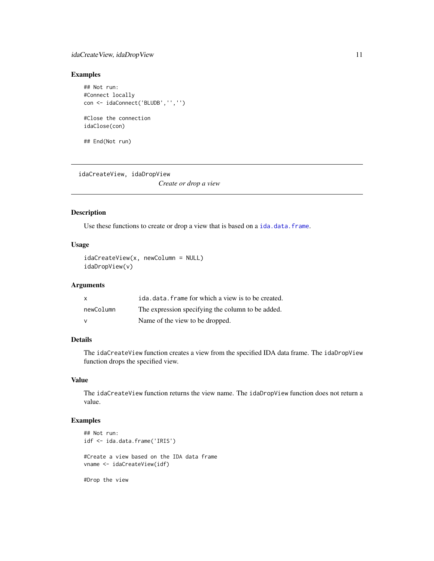# <span id="page-10-0"></span>idaCreateView, idaDropView 11

# Examples

```
## Not run:
#Connect locally
con <- idaConnect('BLUDB','','')
#Close the connection
idaClose(con)
## End(Not run)
```
idaCreateView, idaDropView *Create or drop a view*

#### Description

Use these functions to create or drop a view that is based on a [ida.data.frame](#page-4-1).

# Usage

```
idaCreateView(x, newColumn = NULL)
idaDropView(v)
```
# Arguments

| X            | ida.data.frame for which a view is to be created. |
|--------------|---------------------------------------------------|
| newColumn    | The expression specifying the column to be added. |
| $\mathsf{V}$ | Name of the view to be dropped.                   |

# Details

The idaCreateView function creates a view from the specified IDA data frame. The idaDropView function drops the specified view.

# Value

The idaCreateView function returns the view name. The idaDropView function does not return a value.

# Examples

```
## Not run:
idf <- ida.data.frame('IRIS')
#Create a view based on the IDA data frame
vname <- idaCreateView(idf)
#Drop the view
```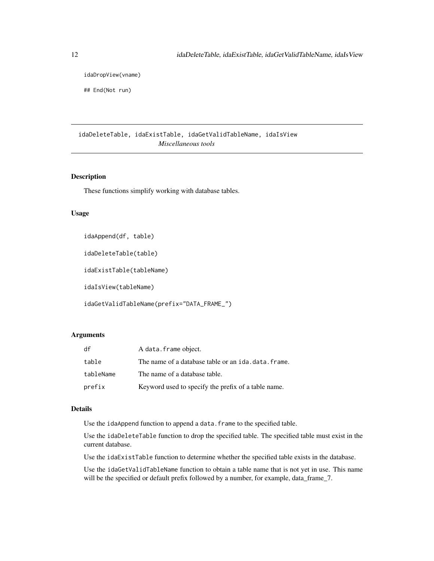<span id="page-11-0"></span>idaDropView(vname)

## End(Not run)

idaDeleteTable, idaExistTable, idaGetValidTableName, idaIsView *Miscellaneous tools*

# Description

These functions simplify working with database tables.

#### Usage

idaAppend(df, table)

idaDeleteTable(table)

idaExistTable(tableName)

idaIsView(tableName)

idaGetValidTableName(prefix="DATA\_FRAME\_")

# Arguments

| df        | A data. frame object.                               |
|-----------|-----------------------------------------------------|
| table     | The name of a database table or an ida.data.frame.  |
| tableName | The name of a database table.                       |
| prefix    | Keyword used to specify the prefix of a table name. |

# Details

Use the idaAppend function to append a data.frame to the specified table.

Use the idaDeleteTable function to drop the specified table. The specified table must exist in the current database.

Use the idaExistTable function to determine whether the specified table exists in the database.

Use the idaGetValidTableName function to obtain a table name that is not yet in use. This name will be the specified or default prefix followed by a number, for example, data\_frame\_7.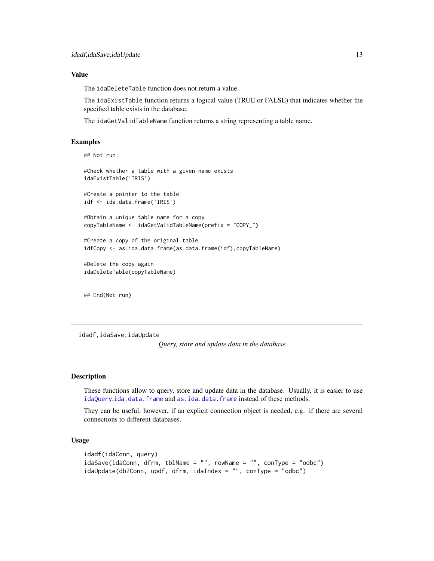#### <span id="page-12-0"></span>Value

The idaDeleteTable function does not return a value.

The idaExistTable function returns a logical value (TRUE or FALSE) that indicates whether the specified table exists in the database.

The idaGetValidTableName function returns a string representing a table name.

#### Examples

```
## Not run:
```

```
#Check whether a table with a given name exists
idaExistTable('IRIS')
```
#Create a pointer to the table idf <- ida.data.frame('IRIS')

```
#Obtain a unique table name for a copy
copyTableName <- idaGetValidTableName(prefix = "COPY_")
```

```
#Create a copy of the original table
idfCopy <- as.ida.data.frame(as.data.frame(idf),copyTableName)
```
#Delete the copy again idaDeleteTable(copyTableName)

## End(Not run)

idadf,idaSave,idaUpdate

*Query, store and update data in the database.*

### Description

These functions allow to query, store and update data in the database. Usually, it is easier to use [idaQuery](#page-30-1),[ida.data.frame](#page-4-1) and [as.ida.data.frame](#page-2-1) instead of these methods.

They can be useful, however, if an explicit connection object is needed, e.g. if there are several connections to different databases.

# Usage

```
idadf(idaConn, query)
idaSave(idaConn, dfrm, tblName = "", rowName = "", conType = "odbc")
idaUpdate(db2Conn, updf, dfrm, idaIndex = "", conType = "odbc")
```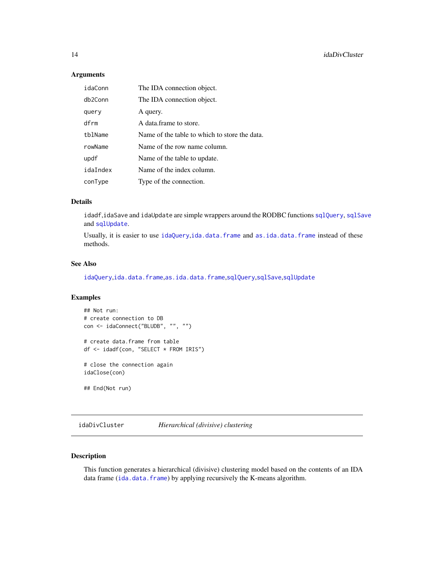# <span id="page-13-0"></span>Arguments

| idaConn  | The IDA connection object.                    |
|----------|-----------------------------------------------|
| db2Conn  | The IDA connection object.                    |
| query    | A query.                                      |
| dfrm     | A data frame to store.                        |
| tblName  | Name of the table to which to store the data. |
| rowName  | Name of the row name column.                  |
| updf     | Name of the table to update.                  |
| idaIndex | Name of the index column.                     |
| conType  | Type of the connection.                       |

# Details

idadf,idaSave and idaUpdate are simple wrappers around the RODBC functions [sqlQuery](#page-0-0), [sqlSave](#page-0-0) and [sqlUpdate](#page-0-0).

Usually, it is easier to use [idaQuery](#page-30-1),[ida.data.frame](#page-4-1) and [as.ida.data.frame](#page-2-1) instead of these methods.

#### See Also

[idaQuery](#page-30-1),[ida.data.frame](#page-4-1),[as.ida.data.frame](#page-2-1),[sqlQuery](#page-0-0),[sqlSave](#page-0-0),[sqlUpdate](#page-0-0)

# Examples

```
## Not run:
# create connection to DB
con <- idaConnect("BLUDB", "", "")
# create data.frame from table
df <- idadf(con, "SELECT * FROM IRIS")
# close the connection again
idaClose(con)
```
## End(Not run)

idaDivCluster *Hierarchical (divisive) clustering*

# Description

This function generates a hierarchical (divisive) clustering model based on the contents of an IDA data frame ([ida.data.frame](#page-4-1)) by applying recursively the K-means algorithm.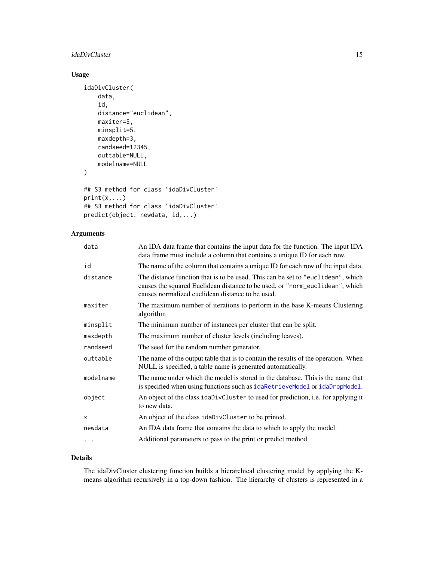# <span id="page-14-0"></span>idaDivCluster 15

# Usage

```
idaDivCluster(
   data,
    id,
    distance="euclidean",
    maxiter=5,
    minsplit=5,
    maxdepth=3,
    randseed=12345,
    outtable=NULL,
    modelname=NULL
)
## S3 method for class 'idaDivCluster'
print(x,...)
## S3 method for class 'idaDivCluster'
predict(object, newdata, id,...)
```
# Arguments

| data      | An IDA data frame that contains the input data for the function. The input IDA<br>data frame must include a column that contains a unique ID for each row.                                                          |
|-----------|---------------------------------------------------------------------------------------------------------------------------------------------------------------------------------------------------------------------|
| id        | The name of the column that contains a unique ID for each row of the input data.                                                                                                                                    |
| distance  | The distance function that is to be used. This can be set to "euclidean", which<br>causes the squared Euclidean distance to be used, or "norm_euclidean", which<br>causes normalized euclidean distance to be used. |
| maxiter   | The maximum number of iterations to perform in the base K-means Clustering<br>algorithm                                                                                                                             |
| minsplit  | The minimum number of instances per cluster that can be split.                                                                                                                                                      |
| maxdepth  | The maximum number of cluster levels (including leaves).                                                                                                                                                            |
| randseed  | The seed for the random number generator.                                                                                                                                                                           |
| outtable  | The name of the output table that is to contain the results of the operation. When<br>NULL is specified, a table name is generated automatically.                                                                   |
| modelname | The name under which the model is stored in the database. This is the name that<br>is specified when using functions such as idaRetrieveModel or idaDropModel.                                                      |
| object    | An object of the class idaDivCluster to used for prediction, i.e. for applying it<br>to new data.                                                                                                                   |
| X         | An object of the class idaDivCluster to be printed.                                                                                                                                                                 |
| newdata   | An IDA data frame that contains the data to which to apply the model.                                                                                                                                               |
| $\cdots$  | Additional parameters to pass to the print or predict method.                                                                                                                                                       |
|           |                                                                                                                                                                                                                     |

# Details

The idaDivCluster clustering function builds a hierarchical clustering model by applying the Kmeans algorithm recursively in a top-down fashion. The hierarchy of clusters is represented in a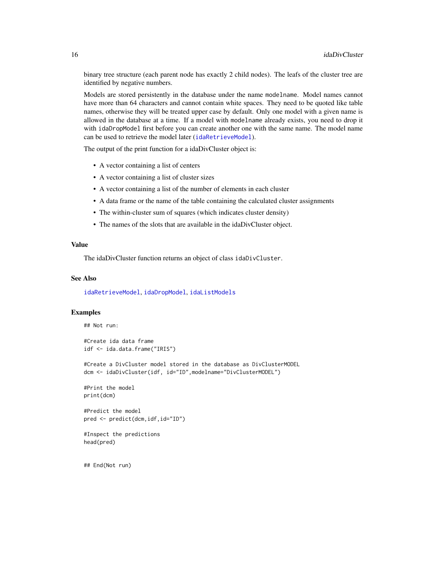binary tree structure (each parent node has exactly 2 child nodes). The leafs of the cluster tree are identified by negative numbers.

Models are stored persistently in the database under the name modelname. Model names cannot have more than 64 characters and cannot contain white spaces. They need to be quoted like table names, otherwise they will be treated upper case by default. Only one model with a given name is allowed in the database at a time. If a model with modelname already exists, you need to drop it with idaDropModel first before you can create another one with the same name. The model name can be used to retrieve the model later ([idaRetrieveModel](#page-31-1)).

The output of the print function for a idaDivCluster object is:

- A vector containing a list of centers
- A vector containing a list of cluster sizes
- A vector containing a list of the number of elements in each cluster
- A data frame or the name of the table containing the calculated cluster assignments
- The within-cluster sum of squares (which indicates cluster density)
- The names of the slots that are available in the idaDivCluster object.

# Value

The idaDivCluster function returns an object of class idaDivCluster.

#### See Also

[idaRetrieveModel](#page-31-1), [idaDropModel](#page-16-1), [idaListModels](#page-23-1)

#### Examples

```
## Not run:
```
#Create ida data frame idf <- ida.data.frame("IRIS")

#Create a DivCluster model stored in the database as DivClusterMODEL dcm <- idaDivCluster(idf, id="ID",modelname="DivClusterMODEL")

```
#Print the model
print(dcm)
```
#Predict the model pred <- predict(dcm,idf,id="ID")

```
#Inspect the predictions
head(pred)
```
## End(Not run)

<span id="page-15-0"></span>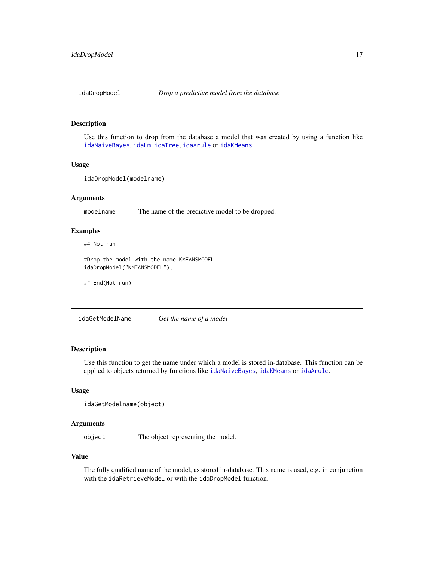<span id="page-16-1"></span><span id="page-16-0"></span>

#### Description

Use this function to drop from the database a model that was created by using a function like [idaNaiveBayes](#page-29-1), [idaLm](#page-24-1), [idaTree](#page-37-1), [idaArule](#page-7-1) or [idaKMeans](#page-20-1).

#### Usage

idaDropModel(modelname)

#### Arguments

modelname The name of the predictive model to be dropped.

# Examples

## Not run:

#Drop the model with the name KMEANSMODEL idaDropModel("KMEANSMODEL");

## End(Not run)

idaGetModelName *Get the name of a model*

# Description

Use this function to get the name under which a model is stored in-database. This function can be applied to objects returned by functions like [idaNaiveBayes](#page-29-1), [idaKMeans](#page-20-1) or [idaArule](#page-7-1).

#### Usage

```
idaGetModelname(object)
```
#### Arguments

object The object representing the model.

# Value

The fully qualified name of the model, as stored in-database. This name is used, e.g. in conjunction with the idaRetrieveModel or with the idaDropModel function.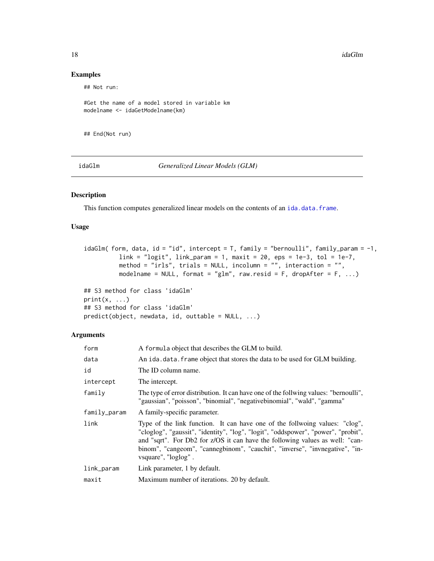18 idaGlm

# Examples

## Not run:

```
#Get the name of a model stored in variable km
modelname <- idaGetModelname(km)
```
## End(Not run)

idaGlm *Generalized Linear Models (GLM)*

# Description

This function computes generalized linear models on the contents of an [ida.data.frame](#page-4-1).

# Usage

```
idaGlm( form, data, id = "id", intercept = T, family = "bernoulli", family_param = -1,
         link = "logit", link\_param = 1, maxit = 20, eps = 1e-3, tol = 1e-7,method = "irls", trials = NULL, incolumn = "", interaction = "",
         modelname = NULL, format = "glm", raw.resid = F, dropAfter = F, ...)
```

```
## S3 method for class 'idaGlm'
print(x, ...)
## S3 method for class 'idaGlm'
predict(object, new data, id, outtable = NULL, ...)
```

| form         | A formula object that describes the GLM to build.                                                                                                                                                                                                                                                                                                      |
|--------------|--------------------------------------------------------------------------------------------------------------------------------------------------------------------------------------------------------------------------------------------------------------------------------------------------------------------------------------------------------|
| data         | An ida. data. frame object that stores the data to be used for GLM building.                                                                                                                                                                                                                                                                           |
| id           | The ID column name.                                                                                                                                                                                                                                                                                                                                    |
| intercept    | The intercept.                                                                                                                                                                                                                                                                                                                                         |
| family       | The type of error distribution. It can have one of the follwing values: "bernoulli",<br>"gaussian", "poisson", "binomial", "negativebinomial", "wald", "gamma"                                                                                                                                                                                         |
| family_param | A family-specific parameter.                                                                                                                                                                                                                                                                                                                           |
| link         | Type of the link function. It can have one of the follwoing values: "clog",<br>"cloglog", "gaussit", "identity", "log", "logit", "oddspower", "power", "probit",<br>and "sqrt". For Db2 for z/OS it can have the following values as well: "can-<br>binom", "cangeom", "cannegbinom", "cauchit", "inverse", "invnegative", "in-<br>vsquare", "loglog". |
| link_param   | Link parameter, 1 by default.                                                                                                                                                                                                                                                                                                                          |
| maxit        | Maximum number of iterations. 20 by default.                                                                                                                                                                                                                                                                                                           |

<span id="page-17-0"></span>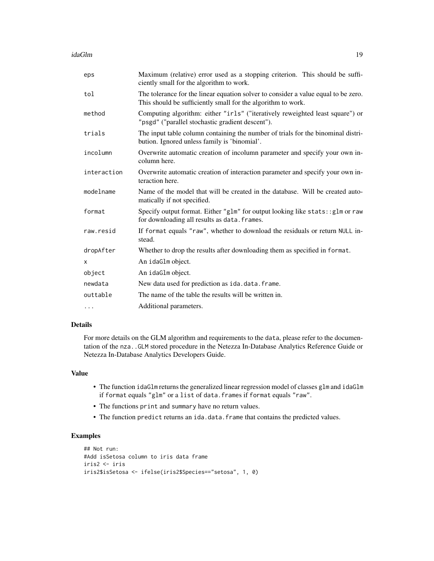idaGlm 19

| eps         | Maximum (relative) error used as a stopping criterion. This should be suffi-<br>ciently small for the algorithm to work.                           |
|-------------|----------------------------------------------------------------------------------------------------------------------------------------------------|
| tol         | The tolerance for the linear equation solver to consider a value equal to be zero.<br>This should be sufficiently small for the algorithm to work. |
| method      | Computing algorithm: either "irls" ("iteratively reweighted least square") or<br>"psgd" ("parallel stochastic gradient descent").                  |
| trials      | The input table column containing the number of trials for the binominal distri-<br>bution. Ignored unless family is 'binomial'.                   |
| incolumn    | Overwrite automatic creation of incolumn parameter and specify your own in-<br>column here.                                                        |
| interaction | Overwrite automatic creation of interaction parameter and specify your own in-<br>teraction here.                                                  |
| modelname   | Name of the model that will be created in the database. Will be created auto-<br>matically if not specified.                                       |
| format      | Specify output format. Either "glm" for output looking like stats: : glm or raw<br>for downloading all results as data. frames.                    |
| raw.resid   | If format equals "raw", whether to download the residuals or return NULL in-<br>stead.                                                             |
| dropAfter   | Whether to drop the results after downloading them as specified in format.                                                                         |
| х           | An idaGlm object.                                                                                                                                  |
| object      | An idaGlm object.                                                                                                                                  |
| newdata     | New data used for prediction as ida.data.frame.                                                                                                    |
| outtable    | The name of the table the results will be written in.                                                                                              |
| $\cdots$    | Additional parameters.                                                                                                                             |

# Details

For more details on the GLM algorithm and requirements to the data, please refer to the documentation of the nza..GLM stored procedure in the Netezza In-Database Analytics Reference Guide or Netezza In-Database Analytics Developers Guide.

# Value

- The function idaGlm returns the generalized linear regression model of classes glm and idaGlm if format equals "glm" or a list of data.frames if format equals "raw".
- The functions print and summary have no return values.
- The function predict returns an ida.data.frame that contains the predicted values.

# Examples

```
## Not run:
#Add isSetosa column to iris data frame
iris2 <- iris
iris2$isSetosa <- ifelse(iris2$Species=="setosa", 1, 0)
```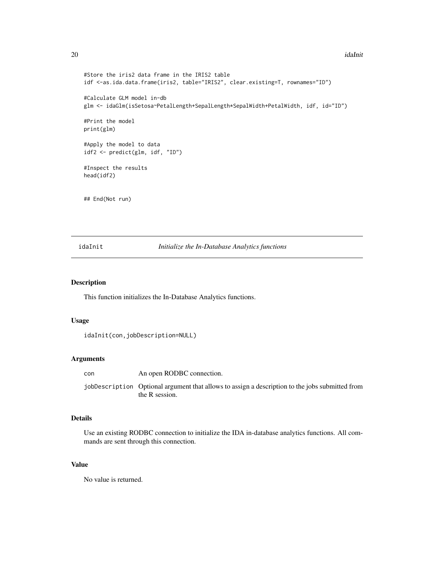#### <span id="page-19-0"></span>20 idaInit

```
#Store the iris2 data frame in the IRIS2 table
idf <-as.ida.data.frame(iris2, table="IRIS2", clear.existing=T, rownames="ID")
#Calculate GLM model in-db
glm <- idaGlm(isSetosa~PetalLength+SepalLength*SepalWidth+PetalWidth, idf, id="ID")
#Print the model
print(glm)
#Apply the model to data
idf2 <- predict(glm, idf, "ID")
#Inspect the results
head(idf2)
## End(Not run)
```
idaInit *Initialize the In-Database Analytics functions*

#### Description

This function initializes the In-Database Analytics functions.

# Usage

```
idaInit(con,jobDescription=NULL)
```
# Arguments

| con | An open RODBC connection. |
|-----|---------------------------|
|-----|---------------------------|

jobDescription Optional argument that allows to assign a description to the jobs submitted from the R session.

# Details

Use an existing RODBC connection to initialize the IDA in-database analytics functions. All commands are sent through this connection.

# Value

No value is returned.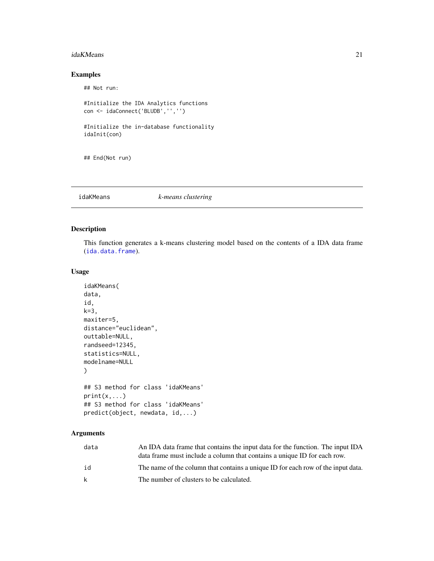#### <span id="page-20-0"></span>idaKMeans 21

# Examples

## Not run:

```
#Initialize the IDA Analytics functions
con <- idaConnect('BLUDB','','')
#Initialize the in-database functionality
idaInit(con)
```
## End(Not run)

<span id="page-20-1"></span>idaKMeans *k-means clustering*

# Description

This function generates a k-means clustering model based on the contents of a IDA data frame ([ida.data.frame](#page-4-1)).

# Usage

```
idaKMeans(
data,
id,
k=3,
maxiter=5,
distance="euclidean",
outtable=NULL,
randseed=12345,
statistics=NULL,
modelname=NULL
)
## S3 method for class 'idaKMeans'
print(x, \ldots)## S3 method for class 'idaKMeans'
predict(object, newdata, id,...)
```

| data | An IDA data frame that contains the input data for the function. The input IDA   |
|------|----------------------------------------------------------------------------------|
|      | data frame must include a column that contains a unique ID for each row.         |
| id   | The name of the column that contains a unique ID for each row of the input data. |
| k    | The number of clusters to be calculated.                                         |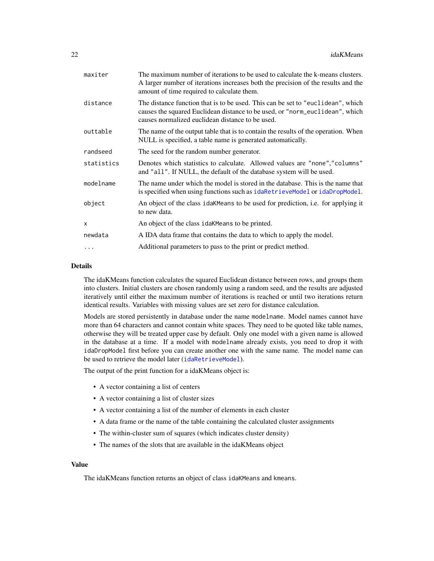<span id="page-21-0"></span>

| maxiter    | The maximum number of iterations to be used to calculate the k-means clusters.<br>A larger number of iterations increases both the precision of the results and the<br>amount of time required to calculate them.   |
|------------|---------------------------------------------------------------------------------------------------------------------------------------------------------------------------------------------------------------------|
| distance   | The distance function that is to be used. This can be set to "euclidean", which<br>causes the squared Euclidean distance to be used, or "norm_euclidean", which<br>causes normalized euclidean distance to be used. |
| outtable   | The name of the output table that is to contain the results of the operation. When<br>NULL is specified, a table name is generated automatically.                                                                   |
| randseed   | The seed for the random number generator.                                                                                                                                                                           |
| statistics | Denotes which statistics to calculate. Allowed values are "none", "columns"<br>and "all". If NULL, the default of the database system will be used.                                                                 |
| modelname  | The name under which the model is stored in the database. This is the name that<br>is specified when using functions such as idaRetrieveModel or idaDropModel.                                                      |
| object     | An object of the class idaKMeans to be used for prediction, i.e. for applying it<br>to new data.                                                                                                                    |
| x          | An object of the class idak Means to be printed.                                                                                                                                                                    |
| newdata    | A IDA data frame that contains the data to which to apply the model.                                                                                                                                                |
| .          | Additional parameters to pass to the print or predict method.                                                                                                                                                       |
|            |                                                                                                                                                                                                                     |

#### Details

The idaKMeans function calculates the squared Euclidean distance between rows, and groups them into clusters. Initial clusters are chosen randomly using a random seed, and the results are adjusted iteratively until either the maximum number of iterations is reached or until two iterations return identical results. Variables with missing values are set zero for distance calculation.

Models are stored persistently in database under the name modelname. Model names cannot have more than 64 characters and cannot contain white spaces. They need to be quoted like table names, otherwise they will be treated upper case by default. Only one model with a given name is allowed in the database at a time. If a model with modelname already exists, you need to drop it with idaDropModel first before you can create another one with the same name. The model name can be used to retrieve the model later ([idaRetrieveModel](#page-31-1)).

The output of the print function for a idaKMeans object is:

- A vector containing a list of centers
- A vector containing a list of cluster sizes
- A vector containing a list of the number of elements in each cluster
- A data frame or the name of the table containing the calculated cluster assignments
- The within-cluster sum of squares (which indicates cluster density)
- The names of the slots that are available in the idaKMeans object

### Value

The idaKMeans function returns an object of class idaKMeans and kmeans.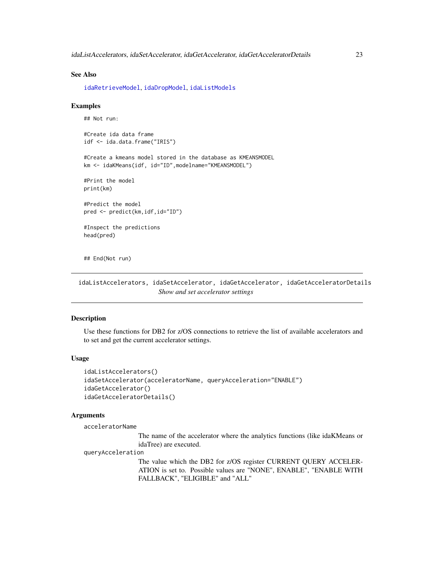#### <span id="page-22-0"></span>See Also

[idaRetrieveModel](#page-31-1), [idaDropModel](#page-16-1), [idaListModels](#page-23-1)

#### Examples

```
## Not run:
#Create ida data frame
idf <- ida.data.frame("IRIS")
#Create a kmeans model stored in the database as KMEANSMODEL
km <- idaKMeans(idf, id="ID",modelname="KMEANSMODEL")
#Print the model
print(km)
#Predict the model
pred <- predict(km,idf,id="ID")
#Inspect the predictions
head(pred)
```
## End(Not run)

idaListAccelerators, idaSetAccelerator, idaGetAccelerator, idaGetAcceleratorDetails *Show and set accelerator settings*

#### Description

Use these functions for DB2 for z/OS connections to retrieve the list of available accelerators and to set and get the current accelerator settings.

#### Usage

```
idaListAccelerators()
idaSetAccelerator(acceleratorName, queryAcceleration="ENABLE")
idaGetAccelerator()
idaGetAcceleratorDetails()
```
# Arguments

acceleratorName

The name of the accelerator where the analytics functions (like idaKMeans or idaTree) are executed.

#### queryAcceleration

The value which the DB2 for z/OS register CURRENT QUERY ACCELER-ATION is set to. Possible values are "NONE", ENABLE", "ENABLE WITH FALLBACK", "ELIGIBLE" and "ALL"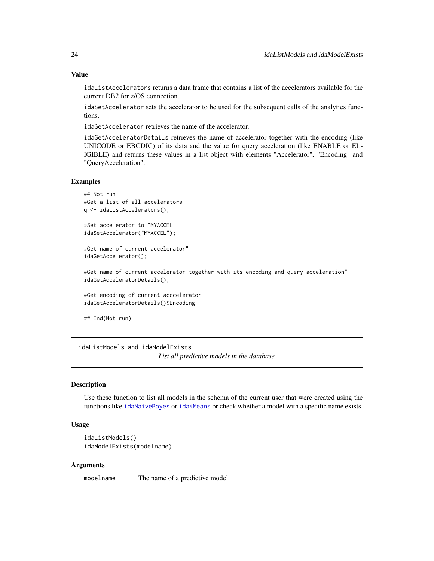# <span id="page-23-0"></span>Value

idaListAccelerators returns a data frame that contains a list of the accelerators available for the current DB2 for z/OS connection.

idaSetAccelerator sets the accelerator to be used for the subsequent calls of the analytics functions.

idaGetAccelerator retrieves the name of the accelerator.

idaGetAcceleratorDetails retrieves the name of accelerator together with the encoding (like UNICODE or EBCDIC) of its data and the value for query acceleration (like ENABLE or EL-IGIBLE) and returns these values in a list object with elements "Accelerator", "Encoding" and "QueryAcceleration".

#### Examples

```
## Not run:
#Get a list of all accelerators
q <- idaListAccelerators();
```
#Set accelerator to "MYACCEL" idaSetAccelerator("MYACCEL");

#Get name of current accelerator" idaGetAccelerator();

#Get name of current accelerator together with its encoding and query acceleration" idaGetAcceleratorDetails();

#Get encoding of current acccelerator idaGetAcceleratorDetails()\$Encoding

## End(Not run)

idaListModels and idaModelExists *List all predictive models in the database*

#### <span id="page-23-1"></span>Description

Use these function to list all models in the schema of the current user that were created using the functions like [idaNaiveBayes](#page-29-1) or [idaKMeans](#page-20-1) or check whether a model with a specific name exists.

# Usage

```
idaListModels()
idaModelExists(modelname)
```
#### Arguments

modelname The name of a predictive model.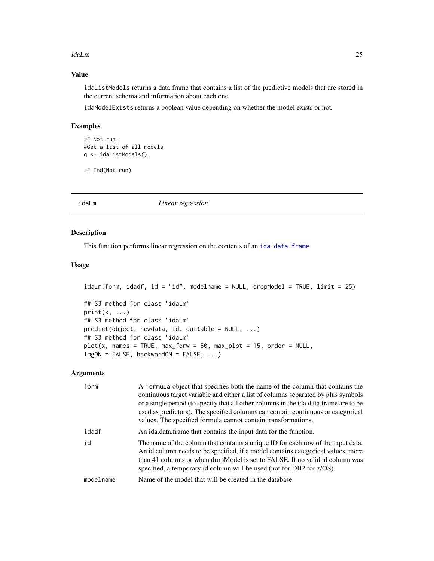#### <span id="page-24-0"></span>idaLm 25

# Value

idaListModels returns a data frame that contains a list of the predictive models that are stored in the current schema and information about each one.

idaModelExists returns a boolean value depending on whether the model exists or not.

# Examples

```
## Not run:
#Get a list of all models
q <- idaListModels();
```
## End(Not run)

<span id="page-24-1"></span>idaLm *Linear regression*

# Description

This function performs linear regression on the contents of an [ida.data.frame](#page-4-1).

#### Usage

```
idaLm(form, idadf, id = "id", modelname = NULL, dropModel = TRUE, limit = 25)
## S3 method for class 'idaLm'
print(x, \ldots)## S3 method for class 'idaLm'
predict(objject, newdata, id, outtable = NULL, ...)## S3 method for class 'idaLm'
plot(x, names = TRUE, max_forw = 50, max_plot = 15, order = NULL,lmgON = FALSE, backwardON = FALSE, ...)
```

| form      | A formula object that specifies both the name of the column that contains the<br>continuous target variable and either a list of columns separated by plus symbols<br>or a single period (to specify that all other columns in the ida.data.frame are to be<br>used as predictors). The specified columns can contain continuous or categorical<br>values. The specified formula cannot contain transformations. |
|-----------|------------------------------------------------------------------------------------------------------------------------------------------------------------------------------------------------------------------------------------------------------------------------------------------------------------------------------------------------------------------------------------------------------------------|
| idadf     | An ida.data.frame that contains the input data for the function.                                                                                                                                                                                                                                                                                                                                                 |
| id        | The name of the column that contains a unique ID for each row of the input data.<br>An id column needs to be specified, if a model contains categorical values, more<br>than 41 columns or when dropModel is set to FALSE. If no valid id column was<br>specified, a temporary id column will be used (not for DB2 for z/OS).                                                                                    |
| modelname | Name of the model that will be created in the database.                                                                                                                                                                                                                                                                                                                                                          |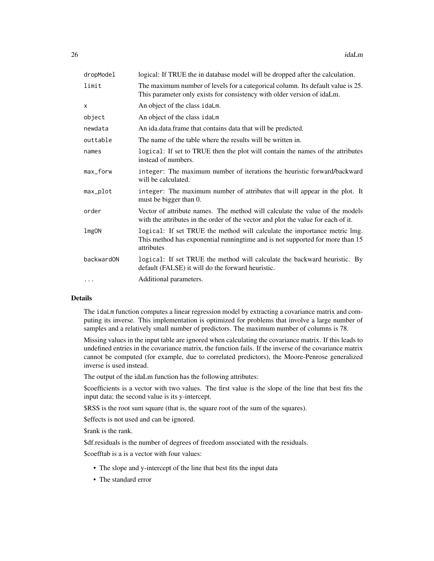| dropModel    | logical: If TRUE the in database model will be dropped after the calculation.                                                                                            |
|--------------|--------------------------------------------------------------------------------------------------------------------------------------------------------------------------|
| limit        | The maximum number of levels for a categorical column. Its default value is 25.<br>This parameter only exists for consistency with older version of idaLm.               |
| X            | An object of the class idaLm.                                                                                                                                            |
| object       | An object of the class idaLm                                                                                                                                             |
| newdata      | An ida.data.frame that contains data that will be predicted.                                                                                                             |
| outtable     | The name of the table where the results will be written in.                                                                                                              |
| names        | logical: If set to TRUE then the plot will contain the names of the attributes<br>instead of numbers.                                                                    |
| max_forw     | integer: The maximum number of iterations the heuristic forward/backward<br>will be calculated.                                                                          |
| max_plot     | integer: The maximum number of attributes that will appear in the plot. It<br>must be bigger than 0.                                                                     |
| order        | Vector of attribute names. The method will calculate the value of the models<br>with the attributes in the order of the vector and plot the value for each of it.        |
| <b>lmgON</b> | logical: If set TRUE the method will calculate the importance metric lmg.<br>This method has exponential runningtime and is not supported for more than 15<br>attributes |
| backwardON   | logical: If set TRUE the method will calculate the backward heuristic. By<br>default (FALSE) it will do the forward heuristic.                                           |
| $\cdots$     | Additional parameters.                                                                                                                                                   |
|              |                                                                                                                                                                          |

# Details

The idaLm function computes a linear regression model by extracting a covariance matrix and computing its inverse. This implementation is optimized for problems that involve a large number of samples and a relatively small number of predictors. The maximum number of columns is 78.

Missing values in the input table are ignored when calculating the covariance matrix. If this leads to undefined entries in the covariance matrix, the function fails. If the inverse of the covariance matrix cannot be computed (for example, due to correlated predictors), the Moore-Penrose generalized inverse is used instead.

The output of the idaLm function has the following attributes:

\$coefficients is a vector with two values. The first value is the slope of the line that best fits the input data; the second value is its y-intercept.

\$RSS is the root sum square (that is, the square root of the sum of the squares).

\$effects is not used and can be ignored.

\$rank is the rank.

\$df.residuals is the number of degrees of freedom associated with the residuals.

\$coefftab is a is a vector with four values:

- The slope and y-intercept of the line that best fits the input data
- The standard error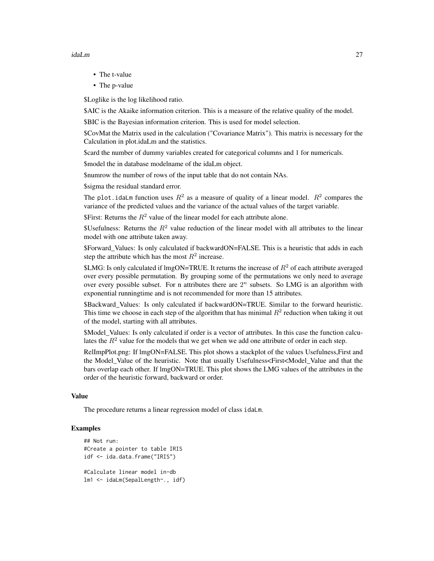#### idaLm 27

- The t-value
- The p-value

\$Loglike is the log likelihood ratio.

\$AIC is the Akaike information criterion. This is a measure of the relative quality of the model.

\$BIC is the Bayesian information criterion. This is used for model selection.

\$CovMat the Matrix used in the calculation ("Covariance Matrix"). This matrix is necessary for the Calculation in plot.idaLm and the statistics.

\$card the number of dummy variables created for categorical columns and 1 for numericals.

\$model the in database modelname of the idaLm object.

\$numrow the number of rows of the input table that do not contain NAs.

\$sigma the residual standard error.

The plot. idaLm function uses  $R^2$  as a measure of quality of a linear model.  $R^2$  compares the variance of the predicted values and the variance of the actual values of the target variable.

\$First: Returns the  $R^2$  value of the linear model for each attribute alone.

\$Usefulness: Returns the  $R^2$  value reduction of the linear model with all attributes to the linear model with one attribute taken away.

\$Forward Values: Is only calculated if backwardON=FALSE. This is a heuristic that adds in each step the attribute which has the most  $R^2$  increase.

\$LMG: Is only calculated if lmgON=TRUE. It returns the increase of  $R^2$  of each attribute averaged over every possible permutation. By grouping some of the permutations we only need to average over every possible subset. For n attributes there are  $2<sup>n</sup>$  subsets. So LMG is an algorithm with exponential runningtime and is not recommended for more than 15 attributes.

\$Backward\_Values: Is only calculated if backwardON=TRUE. Similar to the forward heuristic. This time we choose in each step of the algorithm that has minimal  $R^2$  reduction when taking it out of the model, starting with all attributes.

\$Model\_Values: Is only calculated if order is a vector of attributes. In this case the function calculates the  $R<sup>2</sup>$  value for the models that we get when we add one attribute of order in each step.

RelImpPlot.png: If lmgON=FALSE. This plot shows a stackplot of the values Usefulness,First and the Model\_Value of the heuristic. Note that usually Usefulness<First<Model\_Value and that the bars overlap each other. If lmgON=TRUE. This plot shows the LMG values of the attributes in the order of the heuristic forward, backward or order.

#### Value

The procedure returns a linear regression model of class idaLm.

#### Examples

```
## Not run:
#Create a pointer to table IRIS
idf <- ida.data.frame("IRIS")
#Calculate linear model in-db
lm1 <- idaLm(SepalLength~., idf)
```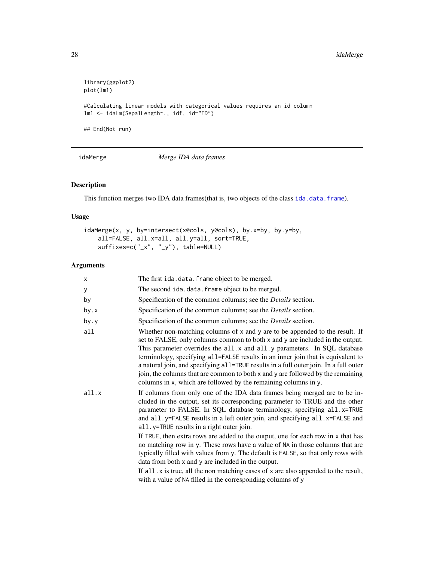```
library(ggplot2)
plot(lm1)
#Calculating linear models with categorical values requires an id column
lm1 <- idaLm(SepalLength~., idf, id="ID")
## End(Not run)
```
idaMerge *Merge IDA data frames*

# Description

This function merges two IDA data frames(that is, two objects of the class [ida.data.frame](#page-4-1)).

# Usage

```
idaMerge(x, y, by=intersect(x@cols, y@cols), by.x=by, by.y=by,
   all=FALSE, all.x=all, all.y=all, sort=TRUE,
   suffixes=c("_x", "_y"), table=NULL)
```

| $\times$ | The first ida.data.frame object to be merged.                                                                                                                                                                                                                                                                                                                                                                                                                                                                                                                                  |
|----------|--------------------------------------------------------------------------------------------------------------------------------------------------------------------------------------------------------------------------------------------------------------------------------------------------------------------------------------------------------------------------------------------------------------------------------------------------------------------------------------------------------------------------------------------------------------------------------|
| У        | The second ida.data.frame object to be merged.                                                                                                                                                                                                                                                                                                                                                                                                                                                                                                                                 |
| by       | Specification of the common columns; see the <i>Details</i> section.                                                                                                                                                                                                                                                                                                                                                                                                                                                                                                           |
| by.x     | Specification of the common columns; see the <i>Details</i> section.                                                                                                                                                                                                                                                                                                                                                                                                                                                                                                           |
| by.y     | Specification of the common columns; see the <i>Details</i> section.                                                                                                                                                                                                                                                                                                                                                                                                                                                                                                           |
| all      | Whether non-matching columns of x and y are to be appended to the result. If<br>set to FALSE, only columns common to both x and y are included in the output.<br>This parameter overrides the all. x and all. y parameters. In SQL database<br>terminology, specifying all=FALSE results in an inner join that is equivalent to<br>a natural join, and specifying all=TRUE results in a full outer join. In a full outer<br>join, the columns that are common to both x and y are followed by the remaining<br>columns in x, which are followed by the remaining columns in y. |
| all.x    | If columns from only one of the IDA data frames being merged are to be in-<br>cluded in the output, set its corresponding parameter to TRUE and the other<br>parameter to FALSE. In SQL database terminology, specifying all.x=TRUE<br>and all.y=FALSE results in a left outer join, and specifying all.x=FALSE and<br>all.y=TRUE results in a right outer join.                                                                                                                                                                                                               |
|          | If TRUE, then extra rows are added to the output, one for each row in x that has<br>no matching row in y. These rows have a value of NA in those columns that are<br>typically filled with values from y. The default is FALSE, so that only rows with<br>data from both x and y are included in the output.                                                                                                                                                                                                                                                                   |
|          | If $all.x$ is true, all the non matching cases of x are also appended to the result,<br>with a value of NA filled in the corresponding columns of y                                                                                                                                                                                                                                                                                                                                                                                                                            |

<span id="page-27-0"></span>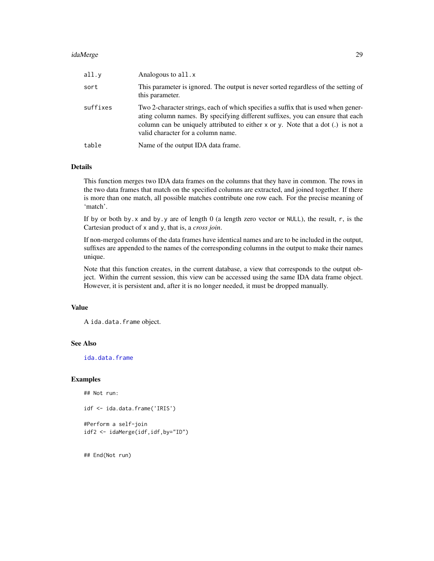#### idaMerge 29

| all.y    | Analogous to all.x                                                                                                                                                                                                                                                                             |
|----------|------------------------------------------------------------------------------------------------------------------------------------------------------------------------------------------------------------------------------------------------------------------------------------------------|
| sort     | This parameter is ignored. The output is never sorted regardless of the setting of<br>this parameter.                                                                                                                                                                                          |
| suffixes | Two 2-character strings, each of which specifies a suffix that is used when gener-<br>ating column names. By specifying different suffixes, you can ensure that each<br>column can be uniquely attributed to either x or y. Note that a dot (.) is not a<br>valid character for a column name. |
| table    | Name of the output IDA data frame.                                                                                                                                                                                                                                                             |

# Details

This function merges two IDA data frames on the columns that they have in common. The rows in the two data frames that match on the specified columns are extracted, and joined together. If there is more than one match, all possible matches contribute one row each. For the precise meaning of 'match'.

If by or both by.x and by.y are of length 0 (a length zero vector or NULL), the result, r, is the Cartesian product of x and y, that is, a *cross join*.

If non-merged columns of the data frames have identical names and are to be included in the output, suffixes are appended to the names of the corresponding columns in the output to make their names unique.

Note that this function creates, in the current database, a view that corresponds to the output object. Within the current session, this view can be accessed using the same IDA data frame object. However, it is persistent and, after it is no longer needed, it must be dropped manually.

# Value

```
A ida.data.frame object.
```
# See Also

[ida.data.frame](#page-4-1)

#### Examples

## Not run:

```
idf <- ida.data.frame('IRIS')
```
#Perform a self-join idf2 <- idaMerge(idf,idf,by="ID")

## End(Not run)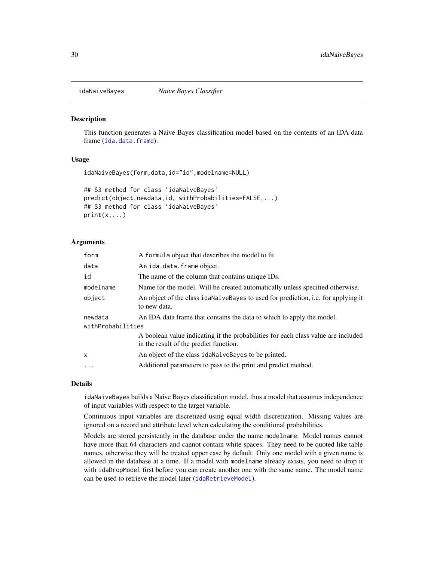<span id="page-29-1"></span><span id="page-29-0"></span>

#### Description

This function generates a Naive Bayes classification model based on the contents of an IDA data frame ([ida.data.frame](#page-4-1)).

# Usage

```
idaNaiveBayes(form,data,id="id",modelname=NULL)
```

```
## S3 method for class 'idaNaiveBayes'
predict(object,newdata,id, withProbabilities=FALSE,...)
## S3 method for class 'idaNaiveBayes'
print(x, \ldots)
```
#### Arguments

| A formula object that describes the model to fit.                                                                           |  |  |
|-----------------------------------------------------------------------------------------------------------------------------|--|--|
| An ida.data.frame object.                                                                                                   |  |  |
| The name of the column that contains unique IDs.                                                                            |  |  |
| Name for the model. Will be created automatically unless specified otherwise.                                               |  |  |
| An object of the class idal aive Bayes to used for prediction, i.e. for applying it<br>to new data.                         |  |  |
| An IDA data frame that contains the data to which to apply the model.                                                       |  |  |
| withProbabilities                                                                                                           |  |  |
| A boolean value indicating if the probabilities for each class value are included<br>in the result of the predict function. |  |  |
| An object of the class idaNaiveBayes to be printed.                                                                         |  |  |
| Additional parameters to pass to the print and predict method.                                                              |  |  |
|                                                                                                                             |  |  |

#### Details

idaNaiveBayes builds a Naive Bayes classification model, thus a model that assumes independence of input variables with respect to the target variable.

Continuous input variables are discretized using equal width discretization. Missing values are ignored on a record and attribute level when calculating the conditional probabilities.

Models are stored persistently in the database under the name modelname. Model names cannot have more than 64 characters and cannot contain white spaces. They need to be quoted like table names, otherwise they will be treated upper case by default. Only one model with a given name is allowed in the database at a time. If a model with modelname already exists, you need to drop it with idaDropModel first before you can create another one with the same name. The model name can be used to retrieve the model later ([idaRetrieveModel](#page-31-1)).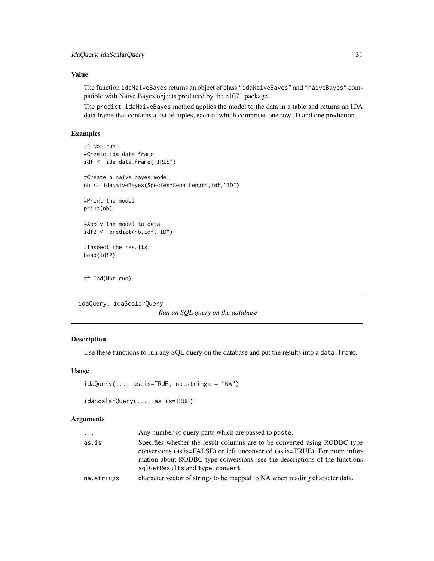# <span id="page-30-0"></span>Value

The function idaNaiveBayes returns an object of class "idaNaiveBayes" and "naiveBayes" compatible with Naive Bayes objects produced by the e1071 package.

The predict.idaNaiveBayes method applies the model to the data in a table and returns an IDA data frame that contains a list of tuples, each of which comprises one row ID and one prediction.

# Examples

```
## Not run:
#Create ida data frame
idf <- ida.data.frame("IRIS")
#Create a naive bayes model
nb <- idaNaiveBayes(Species~SepalLength,idf,"ID")
#Print the model
print(nb)
#Apply the model to data
idf2 <- predict(nb,idf,"ID")
#Inspect the results
head(idf2)
## End(Not run)
```
idaQuery, idaScalarQuery

*Run an SQL query on the database*

# <span id="page-30-1"></span>Description

Use these functions to run any SQL query on the database and put the results into a data. frame.

#### Usage

```
idaQuery(..., as.is=TRUE, na.strings = "NA")
```

```
idaScalarQuery(..., as.is=TRUE)
```

| $\cdots$   | Any number of query parts which are passed to paste.                                                                                                     |
|------------|----------------------------------------------------------------------------------------------------------------------------------------------------------|
| as.is      | Specifies whether the result columns are to be converted using RODBC type<br>conversions (as.is=FALSE) or left unconverted (as.is=TRUE). For more infor- |
|            | mation about RODBC type conversions, see the descriptions of the functions                                                                               |
|            | sqlGetResults and type.convert.                                                                                                                          |
| na.strings | character vector of strings to be mapped to NA when reading character data.                                                                              |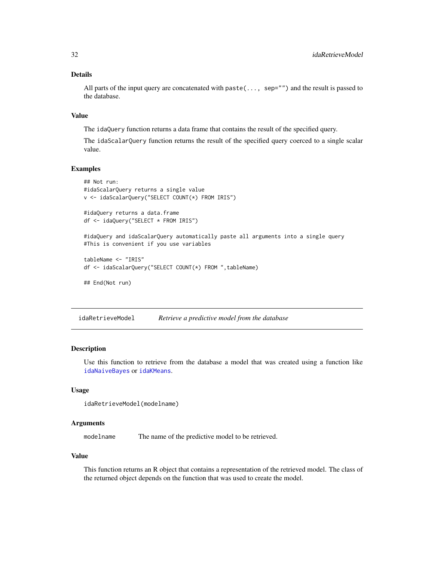# <span id="page-31-0"></span>Details

All parts of the input query are concatenated with paste(..., sep="") and the result is passed to the database.

#### Value

The idaQuery function returns a data frame that contains the result of the specified query.

The idaScalarQuery function returns the result of the specified query coerced to a single scalar value.

# Examples

```
## Not run:
#idaScalarQuery returns a single value
v <- idaScalarQuery("SELECT COUNT(*) FROM IRIS")
#idaQuery returns a data.frame
df <- idaQuery("SELECT * FROM IRIS")
#idaQuery and idaScalarQuery automatically paste all arguments into a single query
#This is convenient if you use variables
tableName <- "IRIS"
df <- idaScalarQuery("SELECT COUNT(*) FROM ",tableName)
## End(Not run)
```
<span id="page-31-1"></span>idaRetrieveModel *Retrieve a predictive model from the database*

# Description

Use this function to retrieve from the database a model that was created using a function like [idaNaiveBayes](#page-29-1) or [idaKMeans](#page-20-1).

#### Usage

```
idaRetrieveModel(modelname)
```
#### Arguments

modelname The name of the predictive model to be retrieved.

#### Value

This function returns an R object that contains a representation of the retrieved model. The class of the returned object depends on the function that was used to create the model.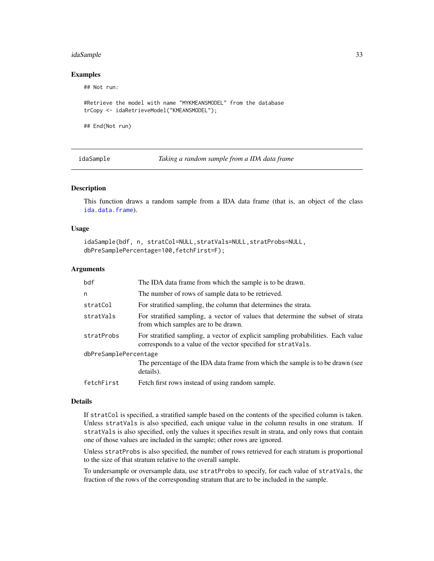#### <span id="page-32-0"></span>idaSample 33

#### Examples

## Not run:

#Retrieve the model with name "MYKMEANSMODEL" from the database trCopy <- idaRetrieveModel("KMEANSMODEL");

## End(Not run)

idaSample *Taking a random sample from a IDA data frame*

#### Description

This function draws a random sample from a IDA data frame (that is, an object of the class [ida.data.frame](#page-4-1)).

#### Usage

```
idaSample(bdf, n, stratCol=NULL,stratVals=NULL,stratProbs=NULL,
dbPreSamplePercentage=100,fetchFirst=F);
```
#### Arguments

| bdf                   | The IDA data frame from which the sample is to be drawn.                                                                                          |  |
|-----------------------|---------------------------------------------------------------------------------------------------------------------------------------------------|--|
| $\mathsf{n}$          | The number of rows of sample data to be retrieved.                                                                                                |  |
| stratCol              | For stratified sampling, the column that determines the strata.                                                                                   |  |
| stratVals             | For stratified sampling, a vector of values that determine the subset of strata<br>from which samples are to be drawn.                            |  |
| stratProbs            | For stratified sampling, a vector of explicit sampling probabilities. Each value<br>corresponds to a value of the vector specified for stratVals. |  |
| dbPreSamplePercentage |                                                                                                                                                   |  |
|                       | The percentage of the IDA data frame from which the sample is to be drawn (see<br>details).                                                       |  |
| fetchFirst            | Fetch first rows instead of using random sample.                                                                                                  |  |

#### Details

If stratCol is specified, a stratified sample based on the contents of the specified column is taken. Unless stratVals is also specified, each unique value in the column results in one stratum. If stratVals is also specified, only the values it specifies result in strata, and only rows that contain one of those values are included in the sample; other rows are ignored.

Unless stratProbs is also specified, the number of rows retrieved for each stratum is proportional to the size of that stratum relative to the overall sample.

To undersample or oversample data, use stratProbs to specify, for each value of stratVals, the fraction of the rows of the corresponding stratum that are to be included in the sample.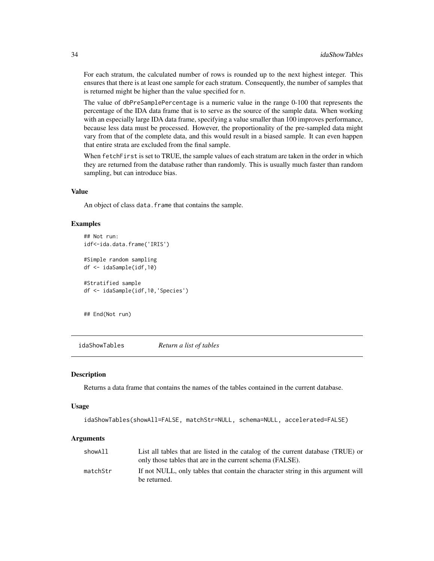For each stratum, the calculated number of rows is rounded up to the next highest integer. This ensures that there is at least one sample for each stratum. Consequently, the number of samples that is returned might be higher than the value specified for n.

The value of dbPreSamplePercentage is a numeric value in the range 0-100 that represents the percentage of the IDA data frame that is to serve as the source of the sample data. When working with an especially large IDA data frame, specifying a value smaller than 100 improves performance, because less data must be processed. However, the proportionality of the pre-sampled data might vary from that of the complete data, and this would result in a biased sample. It can even happen that entire strata are excluded from the final sample.

When fetchFirst is set to TRUE, the sample values of each stratum are taken in the order in which they are returned from the database rather than randomly. This is usually much faster than random sampling, but can introduce bias.

# Value

An object of class data. frame that contains the sample.

#### Examples

```
## Not run:
idf<-ida.data.frame('IRIS')
#Simple random sampling
df <- idaSample(idf,10)
#Stratified sample
df <- idaSample(idf,10,'Species')
```
## End(Not run)

idaShowTables *Return a list of tables*

# Description

Returns a data frame that contains the names of the tables contained in the current database.

#### Usage

```
idaShowTables(showAll=FALSE, matchStr=NULL, schema=NULL, accelerated=FALSE)
```

| showAll  | List all tables that are listed in the catalog of the current database (TRUE) or<br>only those tables that are in the current schema (FALSE). |
|----------|-----------------------------------------------------------------------------------------------------------------------------------------------|
| matchStr | If not NULL, only tables that contain the character string in this argument will<br>be returned.                                              |

<span id="page-33-0"></span>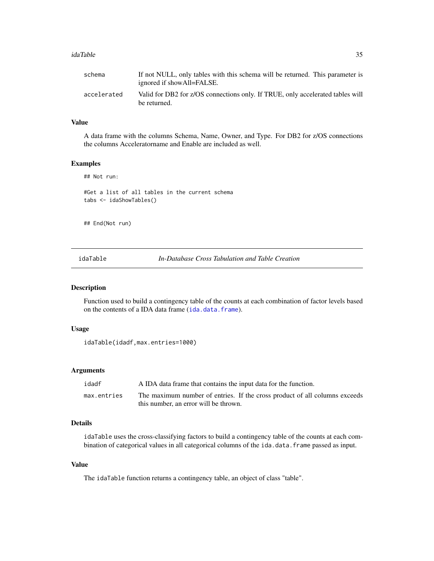#### <span id="page-34-0"></span>idaTable 35

| schema      | If not NULL, only tables with this schema will be returned. This parameter is<br>ignored if showAll=FALSE. |
|-------------|------------------------------------------------------------------------------------------------------------|
| accelerated | Valid for DB2 for z/OS connections only. If TRUE, only accelerated tables will<br>be returned.             |

# Value

A data frame with the columns Schema, Name, Owner, and Type. For DB2 for z/OS connections the columns Acceleratorname and Enable are included as well.

# Examples

```
## Not run:
#Get a list of all tables in the current schema
tabs <- idaShowTables()
```
## End(Not run)

idaTable *In-Database Cross Tabulation and Table Creation*

# Description

Function used to build a contingency table of the counts at each combination of factor levels based on the contents of a IDA data frame ([ida.data.frame](#page-4-1)).

#### Usage

```
idaTable(idadf,max.entries=1000)
```
# Arguments

| idadf       | A IDA data frame that contains the input data for the function.            |
|-------------|----------------------------------------------------------------------------|
| max.entries | The maximum number of entries. If the cross product of all columns exceeds |
|             | this number, an error will be thrown.                                      |

# Details

idaTable uses the cross-classifying factors to build a contingency table of the counts at each combination of categorical values in all categorical columns of the ida.data.frame passed as input.

# Value

The idaTable function returns a contingency table, an object of class "table".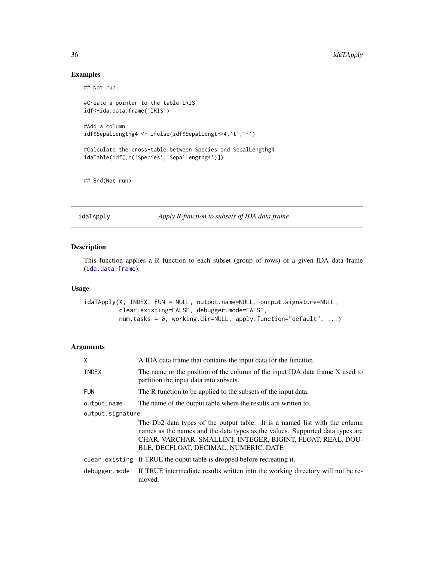# Examples

## Not run:

```
#Create a pointer to the table IRIS
idf<-ida.data.frame('IRIS')
#Add a column
idf$SepalLengthg4 <- ifelse(idf$SepalLength>4,'t','f')
#Calculate the cross-table between Species and SepalLengthg4
idaTable(idf[,c('Species','SepalLengthg4')])
```
## End(Not run)

idaTApply *Apply R-function to subsets of IDA data frame*

## Description

This function applies a R function to each subset (group of rows) of a given IDA data frame ([ida.data.frame](#page-4-1)).

# Usage

idaTApply(X, INDEX, FUN = NULL, output.name=NULL, output.signature=NULL, clear.existing=FALSE, debugger.mode=FALSE, num.tasks = 0, working.dir=NULL, apply.function="default", ...)

| X                | A IDA data frame that contains the input data for the function.                                                                                                                                                                                                     |
|------------------|---------------------------------------------------------------------------------------------------------------------------------------------------------------------------------------------------------------------------------------------------------------------|
| INDEX            | The name or the position of the column of the input IDA data frame X used to<br>partition the input data into subsets.                                                                                                                                              |
| <b>FUN</b>       | The R function to be applied to the subsets of the input data.                                                                                                                                                                                                      |
| output.name      | The name of the output table where the results are written to.                                                                                                                                                                                                      |
| output.signature |                                                                                                                                                                                                                                                                     |
|                  | The Db2 data types of the output table. It is a named list with the column<br>names as the names and the data types as the values. Supported data types are<br>CHAR, VARCHAR, SMALLINT, INTEGER, BIGINT, FLOAT, REAL, DOU-<br>BLE, DECFLOAT, DECIMAL, NUMERIC, DATE |
|                  | clear existing If TRUE the ouput table is dropped before recreating it.                                                                                                                                                                                             |
| debugger.mode    | If TRUE intermediate results written into the working directory will not be re-<br>moved.                                                                                                                                                                           |

<span id="page-35-0"></span>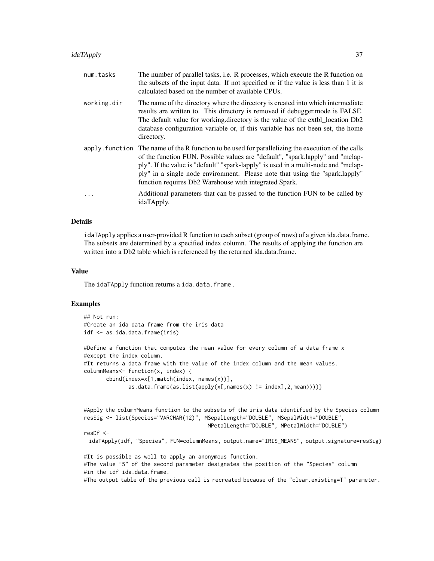| num.tasks   | The number of parallel tasks, i.e. R processes, which execute the R function on<br>the subsets of the input data. If not specified or if the value is less than 1 it is<br>calculated based on the number of available CPUs.                                                                                                                                                                                         |
|-------------|----------------------------------------------------------------------------------------------------------------------------------------------------------------------------------------------------------------------------------------------------------------------------------------------------------------------------------------------------------------------------------------------------------------------|
| working.dir | The name of the directory where the directory is created into which intermediate<br>results are written to. This directory is removed if debugger, mode is FALSE.<br>The default value for working directory is the value of the extbl_location Db2<br>database configuration variable or, if this variable has not been set, the home<br>directory.                                                                 |
|             | apply. function The name of the R function to be used for parallelizing the execution of the calls<br>of the function FUN. Possible values are "default", "spark.lapply" and "mclap-<br>ply". If the value is "default" "spark-lapply" is used in a multi-node and "mclap-<br>ply" in a single node environment. Please note that using the "spark.lapply"<br>function requires Db2 Warehouse with integrated Spark. |
| $\ddotsc$   | Additional parameters that can be passed to the function FUN to be called by<br>idaTApply.                                                                                                                                                                                                                                                                                                                           |

# Details

idaTApply applies a user-provided R function to each subset (group of rows) of a given ida.data.frame. The subsets are determined by a specified index column. The results of applying the function are written into a Db2 table which is referenced by the returned ida.data.frame.

#### Value

The idaTApply function returns a ida.data.frame.

# Examples

```
## Not run:
#Create an ida data frame from the iris data
idf <- as.ida.data.frame(iris)
```

```
#Define a function that computes the mean value for every column of a data frame x
#except the index column.
#It returns a data frame with the value of the index column and the mean values.
columnMeans<- function(x, index) {
      cbind(index=x[1,match(index, names(x))],
              as.data.frame(as.list(apply(x[,names(x) != index],2,mean))))}
```

```
#Apply the columnMeans function to the subsets of the iris data identified by the Species column
resSig <- list(Species="VARCHAR(12)", MSepalLength="DOUBLE", MSepalWidth="DOUBLE",
                                       MPetalLength="DOUBLE", MPetalWidth="DOUBLE")
```
resDf <-

```
idaTApply(idf, "Species", FUN=columnMeans, output.name="IRIS_MEANS", output.signature=resSig)
```
#It is possible as well to apply an anonymous function. #The value "5" of the second parameter designates the position of the "Species" column #in the idf ida.data.frame.

#The output table of the previous call is recreated because of the "clear.existing=T" parameter.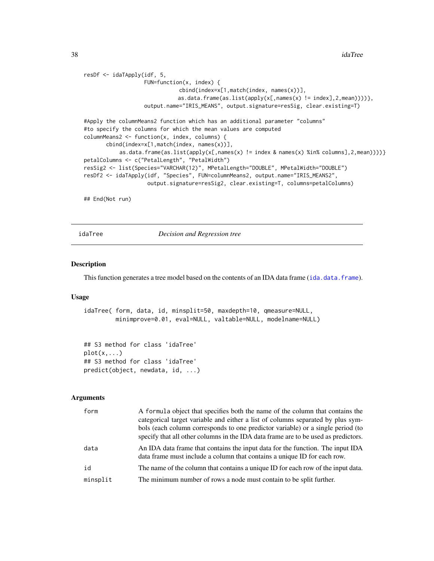<span id="page-37-0"></span>38 idaTree

```
resDf <- idaTApply(idf, 5,
                   FUN=function(x, index) {
                              cbind(index=x[1,match(index, names(x))],
                             as.data.frame(as.list(apply(x[,names(x) != index],2,mean))))},
                   output.name="IRIS_MEANS", output.signature=resSig, clear.existing=T)
#Apply the columnMeans2 function which has an additional parameter "columns"
#to specify the columns for which the mean values are computed
columnMeans2 <- function(x, index, columns) {
      cbind(index=x[1,match(index, names(x))],
           as.data.frame(as.list(apply(x[,names(x) != index & names(x) %in% columns],2,mean))))}
petalColumns <- c("PetalLength", "PetalWidth")
resSig2 <- list(Species="VARCHAR(12)", MPetalLength="DOUBLE", MPetalWidth="DOUBLE")
resDf2 <- idaTApply(idf, "Species", FUN=columnMeans2, output.name="IRIS_MEANS2",
                    output.signature=resSig2, clear.existing=T, columns=petalColumns)
## End(Not run)
```
<span id="page-37-1"></span>idaTree *Decision and Regression tree*

#### Description

This function generates a tree model based on the contents of an IDA data frame ([ida.data.frame](#page-4-1)).

#### Usage

idaTree( form, data, id, minsplit=50, maxdepth=10, qmeasure=NULL, minimprove=0.01, eval=NULL, valtable=NULL, modelname=NULL)

## S3 method for class 'idaTree'  $plot(x, \ldots)$ ## S3 method for class 'idaTree' predict(object, newdata, id, ...)

| form     | A formula object that specifies both the name of the column that contains the<br>categorical target variable and either a list of columns separated by plus sym-<br>bols (each column corresponds to one predictor variable) or a single period (to<br>specify that all other columns in the IDA data frame are to be used as predictors. |
|----------|-------------------------------------------------------------------------------------------------------------------------------------------------------------------------------------------------------------------------------------------------------------------------------------------------------------------------------------------|
| data     | An IDA data frame that contains the input data for the function. The input IDA<br>data frame must include a column that contains a unique ID for each row.                                                                                                                                                                                |
| id       | The name of the column that contains a unique ID for each row of the input data.                                                                                                                                                                                                                                                          |
| minsplit | The minimum number of rows a node must contain to be split further.                                                                                                                                                                                                                                                                       |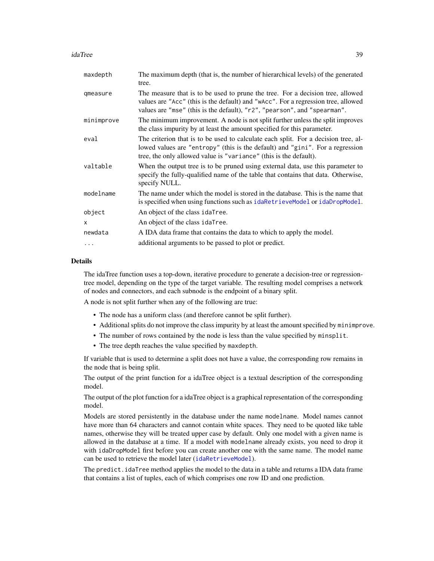#### <span id="page-38-0"></span>idaTree 39

| maxdepth   | The maximum depth (that is, the number of hierarchical levels) of the generated<br>tree.                                                                                                                                                        |
|------------|-------------------------------------------------------------------------------------------------------------------------------------------------------------------------------------------------------------------------------------------------|
| qmeasure   | The measure that is to be used to prune the tree. For a decision tree, allowed<br>values are "Acc" (this is the default) and "wAcc". For a regression tree, allowed<br>values are "mse" (this is the default), "r2", "pearson", and "spearman". |
| minimprove | The minimum improvement. A node is not split further unless the split improves<br>the class impurity by at least the amount specified for this parameter.                                                                                       |
| eval       | The criterion that is to be used to calculate each split. For a decision tree, al-<br>lowed values are "entropy" (this is the default) and "gini". For a regression<br>tree, the only allowed value is "variance" (this is the default).        |
| valtable   | When the output tree is to be pruned using external data, use this parameter to<br>specify the fully-qualified name of the table that contains that data. Otherwise,<br>specify NULL.                                                           |
| modelname  | The name under which the model is stored in the database. This is the name that<br>is specified when using functions such as idaRetrieveModel or idaDropModel.                                                                                  |
| object     | An object of the class idaTree.                                                                                                                                                                                                                 |
| x          | An object of the class idaTree.                                                                                                                                                                                                                 |
| newdata    | A IDA data frame that contains the data to which to apply the model.                                                                                                                                                                            |
| $\cdots$   | additional arguments to be passed to plot or predict.                                                                                                                                                                                           |

# Details

The idaTree function uses a top-down, iterative procedure to generate a decision-tree or regressiontree model, depending on the type of the target variable. The resulting model comprises a network of nodes and connectors, and each subnode is the endpoint of a binary split.

A node is not split further when any of the following are true:

- The node has a uniform class (and therefore cannot be split further).
- Additional splits do not improve the class impurity by at least the amount specified by minimprove.
- The number of rows contained by the node is less than the value specified by minsplit.
- The tree depth reaches the value specified by maxdepth.

If variable that is used to determine a split does not have a value, the corresponding row remains in the node that is being split.

The output of the print function for a idaTree object is a textual description of the corresponding model.

The output of the plot function for a idaTree object is a graphical representation of the corresponding model.

Models are stored persistently in the database under the name modelname. Model names cannot have more than 64 characters and cannot contain white spaces. They need to be quoted like table names, otherwise they will be treated upper case by default. Only one model with a given name is allowed in the database at a time. If a model with modelname already exists, you need to drop it with idaDropModel first before you can create another one with the same name. The model name can be used to retrieve the model later ([idaRetrieveModel](#page-31-1)).

The predict.idaTree method applies the model to the data in a table and returns a IDA data frame that contains a list of tuples, each of which comprises one row ID and one prediction.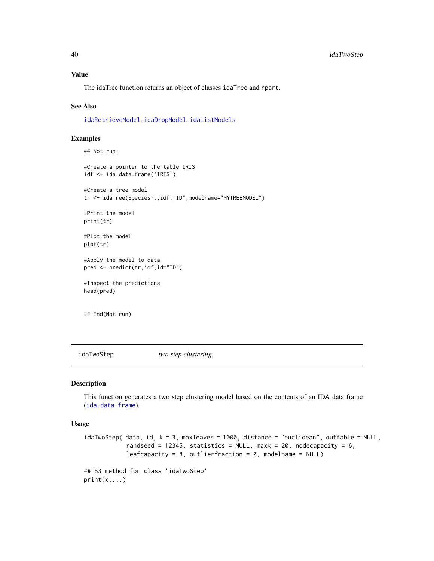#### <span id="page-39-0"></span>Value

The idaTree function returns an object of classes idaTree and rpart.

#### See Also

[idaRetrieveModel](#page-31-1), [idaDropModel](#page-16-1), [idaListModels](#page-23-1)

#### Examples

```
## Not run:
#Create a pointer to the table IRIS
idf <- ida.data.frame('IRIS')
#Create a tree model
tr <- idaTree(Species~.,idf,"ID",modelname="MYTREEMODEL")
#Print the model
print(tr)
#Plot the model
plot(tr)
#Apply the model to data
pred <- predict(tr,idf,id="ID")
#Inspect the predictions
head(pred)
```
## End(Not run)

idaTwoStep *two step clustering*

#### Description

This function generates a two step clustering model based on the contents of an IDA data frame ([ida.data.frame](#page-4-1)).

#### Usage

```
idaTwoStep( data, id, k = 3, maxleaves = 1000, distance = "euclidean", outtable = NULL,
            randseed = 12345, statistics = NULL, maxk = 20, nodecapacity = 6,
            leafcapacity = 8, outlierfraction = 0, modelname = NULL)
## S3 method for class 'idaTwoStep'
```

```
print(x, \ldots)
```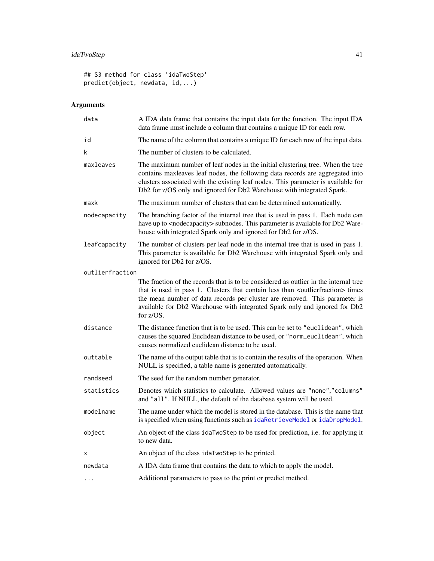# idaTwoStep 41

```
## S3 method for class 'idaTwoStep'
predict(object, newdata, id,...)
```

| data            | A IDA data frame that contains the input data for the function. The input IDA<br>data frame must include a column that contains a unique ID for each row.                                                                                                                                                                                                                          |
|-----------------|------------------------------------------------------------------------------------------------------------------------------------------------------------------------------------------------------------------------------------------------------------------------------------------------------------------------------------------------------------------------------------|
| id              | The name of the column that contains a unique ID for each row of the input data.                                                                                                                                                                                                                                                                                                   |
| k               | The number of clusters to be calculated.                                                                                                                                                                                                                                                                                                                                           |
| maxleaves       | The maximum number of leaf nodes in the initial clustering tree. When the tree<br>contains maxleaves leaf nodes, the following data records are aggregated into<br>clusters associated with the existing leaf nodes. This parameter is available for<br>Db2 for z/OS only and ignored for Db2 Warehouse with integrated Spark.                                                     |
| maxk            | The maximum number of clusters that can be determined automatically.                                                                                                                                                                                                                                                                                                               |
| nodecapacity    | The branching factor of the internal tree that is used in pass 1. Each node can<br>have up to <nodecapacity> subnodes. This parameter is available for Db2 Ware-<br/>house with integrated Spark only and ignored for Db2 for z/OS.</nodecapacity>                                                                                                                                 |
| leafcapacity    | The number of clusters per leaf node in the internal tree that is used in pass 1.<br>This parameter is available for Db2 Warehouse with integrated Spark only and<br>ignored for Db2 for z/OS.                                                                                                                                                                                     |
| outlierfraction |                                                                                                                                                                                                                                                                                                                                                                                    |
|                 | The fraction of the records that is to be considered as outlier in the internal tree<br>that is used in pass 1. Clusters that contain less than <outlierfraction> times<br/>the mean number of data records per cluster are removed. This parameter is<br/>available for Db2 Warehouse with integrated Spark only and ignored for Db2<br/>for <math>z/OS</math>.</outlierfraction> |
| distance        | The distance function that is to be used. This can be set to "euclidean", which<br>causes the squared Euclidean distance to be used, or "norm_euclidean", which<br>causes normalized euclidean distance to be used.                                                                                                                                                                |
| outtable        | The name of the output table that is to contain the results of the operation. When<br>NULL is specified, a table name is generated automatically.                                                                                                                                                                                                                                  |
| randseed        | The seed for the random number generator.                                                                                                                                                                                                                                                                                                                                          |
| statistics      | Denotes which statistics to calculate. Allowed values are "none","columns"<br>and "all". If NULL, the default of the database system will be used.                                                                                                                                                                                                                                 |
| modelname       | The name under which the model is stored in the database. This is the name that<br>is specified when using functions such as idaRetrieveModel or idaDropModel.                                                                                                                                                                                                                     |
| object          | An object of the class idaTwoStep to be used for prediction, i.e. for applying it<br>to new data.                                                                                                                                                                                                                                                                                  |
| Χ               | An object of the class idaTwoStep to be printed.                                                                                                                                                                                                                                                                                                                                   |
| newdata         | A IDA data frame that contains the data to which to apply the model.                                                                                                                                                                                                                                                                                                               |
| .               | Additional parameters to pass to the print or predict method.                                                                                                                                                                                                                                                                                                                      |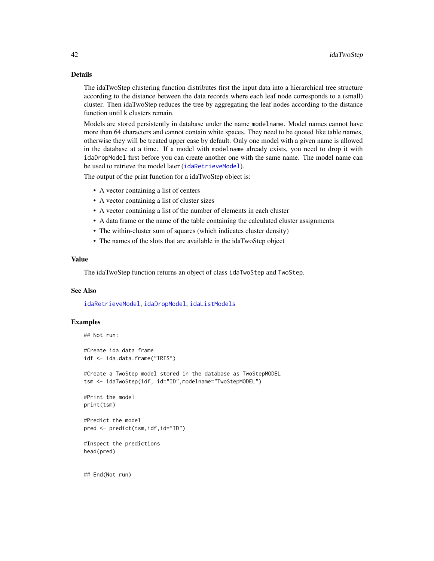# Details

The idaTwoStep clustering function distributes first the input data into a hierarchical tree structure according to the distance between the data records where each leaf node corresponds to a (small) cluster. Then idaTwoStep reduces the tree by aggregating the leaf nodes according to the distance function until k clusters remain.

Models are stored persistently in database under the name modelname. Model names cannot have more than 64 characters and cannot contain white spaces. They need to be quoted like table names, otherwise they will be treated upper case by default. Only one model with a given name is allowed in the database at a time. If a model with modelname already exists, you need to drop it with idaDropModel first before you can create another one with the same name. The model name can be used to retrieve the model later ([idaRetrieveModel](#page-31-1)).

The output of the print function for a idaTwoStep object is:

- A vector containing a list of centers
- A vector containing a list of cluster sizes
- A vector containing a list of the number of elements in each cluster
- A data frame or the name of the table containing the calculated cluster assignments
- The within-cluster sum of squares (which indicates cluster density)
- The names of the slots that are available in the idaTwoStep object

# Value

The idaTwoStep function returns an object of class idaTwoStep and TwoStep.

#### See Also

[idaRetrieveModel](#page-31-1), [idaDropModel](#page-16-1), [idaListModels](#page-23-1)

#### Examples

```
## Not run:
#Create ida data frame
idf <- ida.data.frame("IRIS")
#Create a TwoStep model stored in the database as TwoStepMODEL
tsm <- idaTwoStep(idf, id="ID",modelname="TwoStepMODEL")
#Print the model
print(tsm)
#Predict the model
pred <- predict(tsm,idf,id="ID")
#Inspect the predictions
head(pred)
## End(Not run)
```
<span id="page-41-0"></span>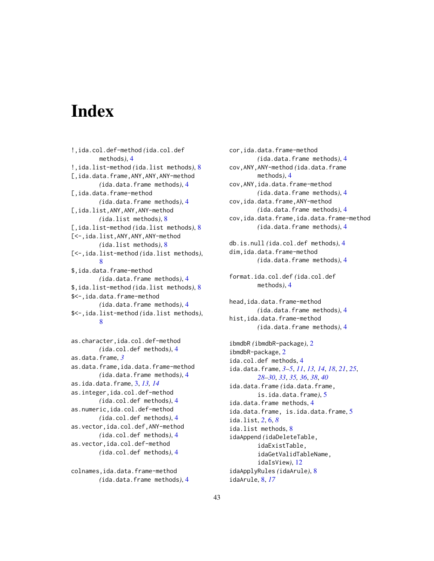# <span id="page-42-0"></span>**Index**

!,ida.col.def-method *(*ida.col.def methods*)*, [4](#page-3-0) !,ida.list-method *(*ida.list methods*)*, [8](#page-7-0) [,ida.data.frame,ANY,ANY,ANY-method *(*ida.data.frame methods*)*, [4](#page-3-0) [,ida.data.frame-method *(*ida.data.frame methods*)*, [4](#page-3-0) [,ida.list,ANY,ANY,ANY-method *(*ida.list methods*)*, [8](#page-7-0) [,ida.list-method *(*ida.list methods*)*, [8](#page-7-0) [<-,ida.list,ANY,ANY,ANY-method *(*ida.list methods*)*, [8](#page-7-0) [<-,ida.list-method *(*ida.list methods*)*, [8](#page-7-0) \$,ida.data.frame-method *(*ida.data.frame methods*)*, [4](#page-3-0) \$,ida.list-method *(*ida.list methods*)*, [8](#page-7-0) \$<-,ida.data.frame-method *(*ida.data.frame methods*)*, [4](#page-3-0) \$<-,ida.list-method *(*ida.list methods*)*, [8](#page-7-0)

as.character,ida.col.def-method *(*ida.col.def methods*)*, [4](#page-3-0) as.data.frame, *[3](#page-2-0)* as.data.frame,ida.data.frame-method *(*ida.data.frame methods*)*, [4](#page-3-0) as.ida.data.frame, [3,](#page-2-0) *[13,](#page-12-0) [14](#page-13-0)* as.integer,ida.col.def-method *(*ida.col.def methods*)*, [4](#page-3-0) as.numeric,ida.col.def-method *(*ida.col.def methods*)*, [4](#page-3-0) as.vector,ida.col.def,ANY-method *(*ida.col.def methods*)*, [4](#page-3-0) as.vector,ida.col.def-method *(*ida.col.def methods*)*, [4](#page-3-0)

colnames,ida.data.frame-method *(*ida.data.frame methods*)*, [4](#page-3-0) cor,ida.data.frame-method *(*ida.data.frame methods*)*, [4](#page-3-0) cov,ANY,ANY-method *(*ida.data.frame methods*)*, [4](#page-3-0) cov,ANY,ida.data.frame-method *(*ida.data.frame methods*)*, [4](#page-3-0) cov,ida.data.frame,ANY-method *(*ida.data.frame methods*)*, [4](#page-3-0) cov,ida.data.frame,ida.data.frame-method *(*ida.data.frame methods*)*, [4](#page-3-0) db.is.null *(*ida.col.def methods*)*, [4](#page-3-0) dim,ida.data.frame-method *(*ida.data.frame methods*)*, [4](#page-3-0) format.ida.col.def *(*ida.col.def methods*)*, [4](#page-3-0) head,ida.data.frame-method *(*ida.data.frame methods*)*, [4](#page-3-0) hist,ida.data.frame-method *(*ida.data.frame methods*)*, [4](#page-3-0) ibmdbR *(*ibmdbR-package*)*, [2](#page-1-0) ibmdbR-package, [2](#page-1-0) ida.col.def methods, [4](#page-3-0) ida.data.frame, *[3](#page-2-0)[–5](#page-4-0)*, *[11](#page-10-0)*, *[13,](#page-12-0) [14](#page-13-0)*, *[18](#page-17-0)*, *[21](#page-20-0)*, *[25](#page-24-0)*, *[28](#page-27-0)[–30](#page-29-0)*, *[33](#page-32-0)*, *[35,](#page-34-0) [36](#page-35-0)*, *[38](#page-37-0)*, *[40](#page-39-0)* ida.data.frame *(*ida.data.frame, is.ida.data.frame*)*, [5](#page-4-0) ida.data.frame methods, [4](#page-3-0) ida.data.frame, is.ida.data.frame, [5](#page-4-0) ida.list, *[2](#page-1-0)*, [6,](#page-5-0) *[8](#page-7-0)* ida.list methods, [8](#page-7-0) idaAppend *(*idaDeleteTable, idaExistTable, idaGetValidTableName, idaIsView*)*, [12](#page-11-0) idaApplyRules *(*idaArule*)*, [8](#page-7-0)

idaArule, [8,](#page-7-0) *[17](#page-16-0)*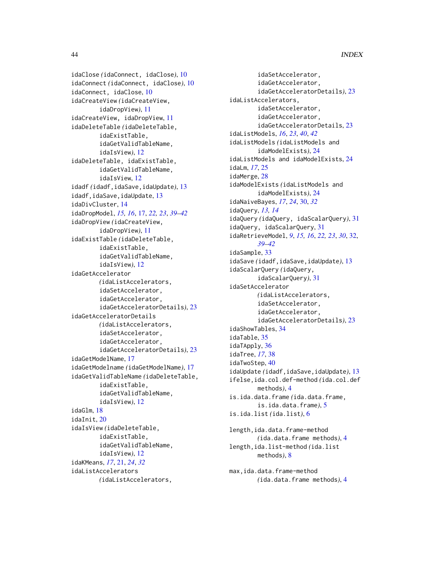idaClose *(*idaConnect, idaClose*)*, [10](#page-9-0) idaConnect *(*idaConnect, idaClose*)*, [10](#page-9-0) idaConnect, idaClose, [10](#page-9-0) idaCreateView *(*idaCreateView, idaDropView*)*, [11](#page-10-0) idaCreateView, idaDropView, [11](#page-10-0) idaDeleteTable *(*idaDeleteTable, idaExistTable, idaGetValidTableName, idaIsView*)*, [12](#page-11-0) idaDeleteTable, idaExistTable, idaGetValidTableName, idaIsView, [12](#page-11-0) idadf *(*idadf,idaSave,idaUpdate*)*, [13](#page-12-0) idadf, idaSave, idaUpdate, [13](#page-12-0) idaDivCluster, [14](#page-13-0) idaDropModel, *[15,](#page-14-0) [16](#page-15-0)*, [17,](#page-16-0) *[22,](#page-21-0) [23](#page-22-0)*, *[39–](#page-38-0)[42](#page-41-0)* idaDropView *(*idaCreateView, idaDropView*)*, [11](#page-10-0) idaExistTable *(*idaDeleteTable, idaExistTable, idaGetValidTableName, idaIsView*)*, [12](#page-11-0) idaGetAccelerator *(*idaListAccelerators, idaSetAccelerator, idaGetAccelerator, idaGetAcceleratorDetails*)*, [23](#page-22-0) idaGetAcceleratorDetails *(*idaListAccelerators, idaSetAccelerator, idaGetAccelerator, idaGetAcceleratorDetails*)*, [23](#page-22-0) idaGetModelName, [17](#page-16-0) idaGetModelname *(*idaGetModelName*)*, [17](#page-16-0) idaGetValidTableName *(*idaDeleteTable, idaExistTable, idaGetValidTableName, idaIsView*)*, [12](#page-11-0) idaGlm, [18](#page-17-0) idaInit, [20](#page-19-0) idaIsView *(*idaDeleteTable, idaExistTable, idaGetValidTableName, idaIsView*)*, [12](#page-11-0) idaKMeans, *[17](#page-16-0)*, [21,](#page-20-0) *[24](#page-23-0)*, *[32](#page-31-0)* idaListAccelerators *(*idaListAccelerators,

idaSetAccelerator, idaGetAccelerator, idaGetAcceleratorDetails*)*, [23](#page-22-0) idaListAccelerators, idaSetAccelerator, idaGetAccelerator, idaGetAcceleratorDetails, [23](#page-22-0) idaListModels, *[16](#page-15-0)*, *[23](#page-22-0)*, *[40](#page-39-0)*, *[42](#page-41-0)* idaListModels *(*idaListModels and idaModelExists*)*, [24](#page-23-0) idaListModels and idaModelExists, [24](#page-23-0) idaLm, *[17](#page-16-0)*, [25](#page-24-0) idaMerge, [28](#page-27-0) idaModelExists *(*idaListModels and idaModelExists*)*, [24](#page-23-0) idaNaiveBayes, *[17](#page-16-0)*, *[24](#page-23-0)*, [30,](#page-29-0) *[32](#page-31-0)* idaQuery, *[13,](#page-12-0) [14](#page-13-0)* idaQuery *(*idaQuery, idaScalarQuery*)*, [31](#page-30-0) idaQuery, idaScalarQuery, [31](#page-30-0) idaRetrieveModel, *[9](#page-8-0)*, *[15,](#page-14-0) [16](#page-15-0)*, *[22,](#page-21-0) [23](#page-22-0)*, *[30](#page-29-0)*, [32,](#page-31-0) *[39](#page-38-0)[–42](#page-41-0)* idaSample, [33](#page-32-0) idaSave *(*idadf,idaSave,idaUpdate*)*, [13](#page-12-0) idaScalarQuery *(*idaQuery, idaScalarQuery*)*, [31](#page-30-0) idaSetAccelerator *(*idaListAccelerators, idaSetAccelerator, idaGetAccelerator, idaGetAcceleratorDetails*)*, [23](#page-22-0) idaShowTables, [34](#page-33-0) idaTable, [35](#page-34-0) idaTApply, [36](#page-35-0) idaTree, *[17](#page-16-0)*, [38](#page-37-0) idaTwoStep, [40](#page-39-0) idaUpdate *(*idadf,idaSave,idaUpdate*)*, [13](#page-12-0) ifelse,ida.col.def-method *(*ida.col.def methods*)*, [4](#page-3-0) is.ida.data.frame *(*ida.data.frame, is.ida.data.frame*)*, [5](#page-4-0) is.ida.list *(*ida.list*)*, [6](#page-5-0) length, ida.data.frame-method *(*ida.data.frame methods*)*, [4](#page-3-0) length,ida.list-method *(*ida.list methods*)*, [8](#page-7-0)

max,ida.data.frame-method *(*ida.data.frame methods*)*, [4](#page-3-0)